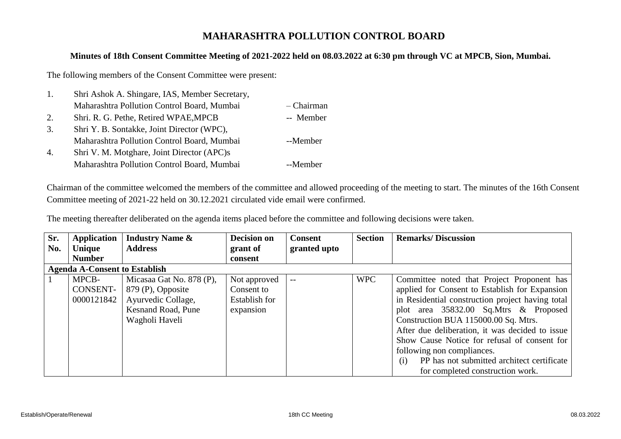## **MAHARASHTRA POLLUTION CONTROL BOARD**

## **Minutes of 18th Consent Committee Meeting of 2021-2022 held on 08.03.2022 at 6:30 pm through VC at MPCB, Sion, Mumbai.**

The following members of the Consent Committee were present:

| 1. | Shri Ashok A. Shingare, IAS, Member Secretary, |              |
|----|------------------------------------------------|--------------|
|    | Maharashtra Pollution Control Board, Mumbai    | $-$ Chairman |
| 2. | Shri. R. G. Pethe, Retired WPAE, MPCB          | -- Member    |
| 3. | Shri Y. B. Sontakke, Joint Director (WPC),     |              |
|    | Maharashtra Pollution Control Board, Mumbai    | --Member     |
| 4. | Shri V. M. Motghare, Joint Director (APC)s     |              |
|    | Maharashtra Pollution Control Board, Mumbai    | --Member     |

Chairman of the committee welcomed the members of the committee and allowed proceeding of the meeting to start. The minutes of the 16th Consent Committee meeting of 2021-22 held on 30.12.2021 circulated vide email were confirmed.

The meeting thereafter deliberated on the agenda items placed before the committee and following decisions were taken.

| Sr. | Application                          | <b>Industry Name &amp;</b> | <b>Decision on</b> | <b>Consent</b> | <b>Section</b> | <b>Remarks/Discussion</b>                         |
|-----|--------------------------------------|----------------------------|--------------------|----------------|----------------|---------------------------------------------------|
| No. | Unique                               | <b>Address</b>             | grant of           | granted upto   |                |                                                   |
|     | <b>Number</b>                        |                            | consent            |                |                |                                                   |
|     | <b>Agenda A-Consent to Establish</b> |                            |                    |                |                |                                                   |
|     | MPCB-                                | Micasaa Gat No. 878 (P),   | Not approved       | $- -$          | <b>WPC</b>     | Committee noted that Project Proponent has        |
|     | CONSENT-                             | 879 (P), Opposite          | Consent to         |                |                | applied for Consent to Establish for Expansion    |
|     | 0000121842                           | Ayurvedic Collage,         | Establish for      |                |                | in Residential construction project having total  |
|     |                                      | <b>Kesnand Road, Pune</b>  | expansion          |                |                | plot area 35832.00 Sq.Mtrs & Proposed             |
|     |                                      | Wagholi Haveli             |                    |                |                | Construction BUA 115000.00 Sq. Mtrs.              |
|     |                                      |                            |                    |                |                | After due deliberation, it was decided to issue   |
|     |                                      |                            |                    |                |                | Show Cause Notice for refusal of consent for      |
|     |                                      |                            |                    |                |                | following non compliances.                        |
|     |                                      |                            |                    |                |                | PP has not submitted architect certificate<br>(i) |
|     |                                      |                            |                    |                |                | for completed construction work.                  |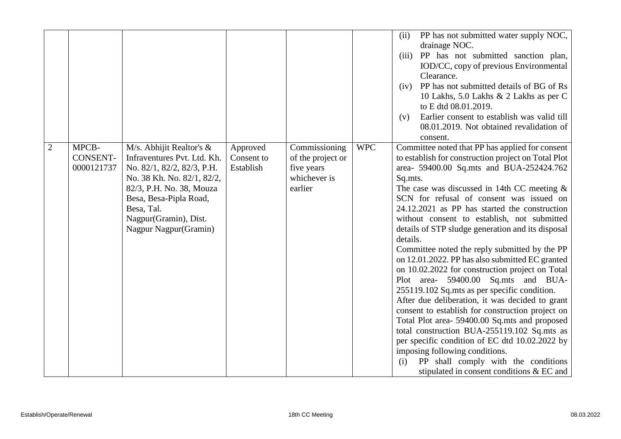|                |                 |                                                         |                        |                                    |            | PP has not submitted water supply NOC,<br>(ii)                                                         |
|----------------|-----------------|---------------------------------------------------------|------------------------|------------------------------------|------------|--------------------------------------------------------------------------------------------------------|
|                |                 |                                                         |                        |                                    |            | drainage NOC.                                                                                          |
|                |                 |                                                         |                        |                                    |            | PP has not submitted sanction plan,<br>(iii)                                                           |
|                |                 |                                                         |                        |                                    |            | IOD/CC, copy of previous Environmental                                                                 |
|                |                 |                                                         |                        |                                    |            | Clearance.                                                                                             |
|                |                 |                                                         |                        |                                    |            | PP has not submitted details of BG of Rs<br>(iv)                                                       |
|                |                 |                                                         |                        |                                    |            | 10 Lakhs, 5.0 Lakhs & 2 Lakhs as per C                                                                 |
|                |                 |                                                         |                        |                                    |            | to E dtd 08.01.2019.                                                                                   |
|                |                 |                                                         |                        |                                    |            | Earlier consent to establish was valid till<br>(v)                                                     |
|                |                 |                                                         |                        |                                    |            | 08.01.2019. Not obtained revalidation of                                                               |
|                | MPCB-           |                                                         |                        |                                    | <b>WPC</b> | consent.                                                                                               |
| $\overline{2}$ | <b>CONSENT-</b> | M/s. Abhijit Realtor's &<br>Infraventures Pvt. Ltd. Kh. | Approved<br>Consent to | Commissioning<br>of the project or |            | Committee noted that PP has applied for consent<br>to establish for construction project on Total Plot |
|                | 0000121737      | No. 82/1, 82/2, 82/3, P.H.                              | Establish              | five years                         |            | area- 59400.00 Sq.mts and BUA-252424.762                                                               |
|                |                 | No. 38 Kh. No. 82/1, 82/2,                              |                        | whichever is                       |            | Sq.mts.                                                                                                |
|                |                 | 82/3, P.H. No. 38, Mouza                                |                        | earlier                            |            | The case was discussed in 14th CC meeting $\&$                                                         |
|                |                 | Besa, Besa-Pipla Road,                                  |                        |                                    |            | SCN for refusal of consent was issued on                                                               |
|                |                 | Besa, Tal.                                              |                        |                                    |            | 24.12.2021 as PP has started the construction                                                          |
|                |                 | Nagpur(Gramin), Dist.                                   |                        |                                    |            | without consent to establish, not submitted                                                            |
|                |                 | Nagpur Nagpur (Gramin)                                  |                        |                                    |            | details of STP sludge generation and its disposal                                                      |
|                |                 |                                                         |                        |                                    |            | details.                                                                                               |
|                |                 |                                                         |                        |                                    |            | Committee noted the reply submitted by the PP                                                          |
|                |                 |                                                         |                        |                                    |            | on 12.01.2022. PP has also submitted EC granted                                                        |
|                |                 |                                                         |                        |                                    |            | on 10.02.2022 for construction project on Total                                                        |
|                |                 |                                                         |                        |                                    |            | Plot area- 59400.00 Sq.mts and BUA-                                                                    |
|                |                 |                                                         |                        |                                    |            | 255119.102 Sq.mts as per specific condition.                                                           |
|                |                 |                                                         |                        |                                    |            | After due deliberation, it was decided to grant                                                        |
|                |                 |                                                         |                        |                                    |            | consent to establish for construction project on                                                       |
|                |                 |                                                         |                        |                                    |            | Total Plot area- 59400.00 Sq.mts and proposed                                                          |
|                |                 |                                                         |                        |                                    |            | total construction BUA-255119.102 Sq.mts as                                                            |
|                |                 |                                                         |                        |                                    |            | per specific condition of EC dtd 10.02.2022 by                                                         |
|                |                 |                                                         |                        |                                    |            | imposing following conditions.                                                                         |
|                |                 |                                                         |                        |                                    |            | PP shall comply with the conditions<br>(i)                                                             |
|                |                 |                                                         |                        |                                    |            | stipulated in consent conditions & EC and                                                              |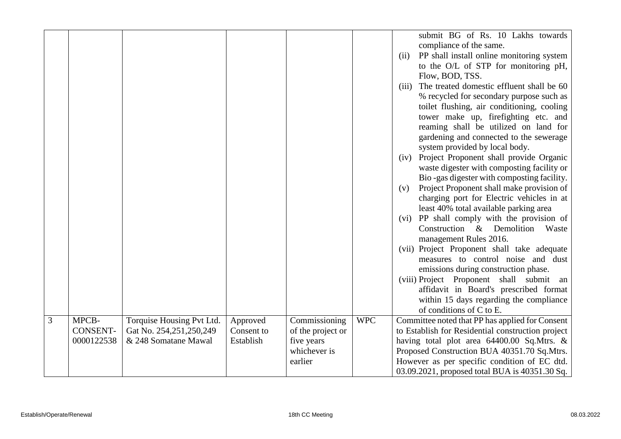|   |                 |                           |            |                   |            | submit BG of Rs. 10 Lakhs towards                  |
|---|-----------------|---------------------------|------------|-------------------|------------|----------------------------------------------------|
|   |                 |                           |            |                   |            | compliance of the same.                            |
|   |                 |                           |            |                   |            | PP shall install online monitoring system<br>(ii)  |
|   |                 |                           |            |                   |            | to the O/L of STP for monitoring pH,               |
|   |                 |                           |            |                   |            | Flow, BOD, TSS.                                    |
|   |                 |                           |            |                   |            | The treated domestic effluent shall be 60<br>(iii) |
|   |                 |                           |            |                   |            | % recycled for secondary purpose such as           |
|   |                 |                           |            |                   |            | toilet flushing, air conditioning, cooling         |
|   |                 |                           |            |                   |            | tower make up, firefighting etc. and               |
|   |                 |                           |            |                   |            | reaming shall be utilized on land for              |
|   |                 |                           |            |                   |            | gardening and connected to the sewerage            |
|   |                 |                           |            |                   |            | system provided by local body.                     |
|   |                 |                           |            |                   |            | (iv) Project Proponent shall provide Organic       |
|   |                 |                           |            |                   |            | waste digester with composting facility or         |
|   |                 |                           |            |                   |            | Bio-gas digester with composting facility.         |
|   |                 |                           |            |                   |            | Project Proponent shall make provision of<br>(v)   |
|   |                 |                           |            |                   |            | charging port for Electric vehicles in at          |
|   |                 |                           |            |                   |            | least 40% total available parking area             |
|   |                 |                           |            |                   |            | (vi) PP shall comply with the provision of         |
|   |                 |                           |            |                   |            | Construction & Demolition<br>Waste                 |
|   |                 |                           |            |                   |            | management Rules 2016.                             |
|   |                 |                           |            |                   |            | (vii) Project Proponent shall take adequate        |
|   |                 |                           |            |                   |            | measures to control noise and dust                 |
|   |                 |                           |            |                   |            | emissions during construction phase.               |
|   |                 |                           |            |                   |            | (viii) Project Proponent shall submit<br>an        |
|   |                 |                           |            |                   |            | affidavit in Board's prescribed format             |
|   |                 |                           |            |                   |            | within 15 days regarding the compliance            |
|   |                 |                           |            |                   |            | of conditions of C to E.                           |
| 3 | MPCB-           | Torquise Housing Pvt Ltd. | Approved   | Commissioning     | <b>WPC</b> | Committee noted that PP has applied for Consent    |
|   | <b>CONSENT-</b> | Gat No. 254,251,250,249   | Consent to | of the project or |            | to Establish for Residential construction project  |
|   | 0000122538      | & 248 Somatane Mawal      | Establish  | five years        |            | having total plot area 64400.00 Sq.Mtrs. &         |
|   |                 |                           |            | whichever is      |            | Proposed Construction BUA 40351.70 Sq.Mtrs.        |
|   |                 |                           |            | earlier           |            | However as per specific condition of EC dtd.       |
|   |                 |                           |            |                   |            | 03.09.2021, proposed total BUA is 40351.30 Sq.     |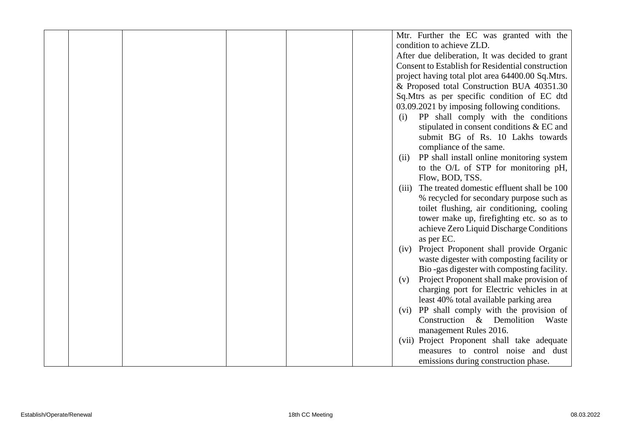|  |  |  | Mtr. Further the EC was granted with the                 |
|--|--|--|----------------------------------------------------------|
|  |  |  | condition to achieve ZLD.                                |
|  |  |  | After due deliberation, It was decided to grant          |
|  |  |  | <b>Consent to Establish for Residential construction</b> |
|  |  |  | project having total plot area 64400.00 Sq.Mtrs.         |
|  |  |  | & Proposed total Construction BUA 40351.30               |
|  |  |  | Sq.Mtrs as per specific condition of EC dtd              |
|  |  |  | 03.09.2021 by imposing following conditions.             |
|  |  |  | PP shall comply with the conditions<br>(i)               |
|  |  |  | stipulated in consent conditions & EC and                |
|  |  |  | submit BG of Rs. 10 Lakhs towards                        |
|  |  |  | compliance of the same.                                  |
|  |  |  | PP shall install online monitoring system<br>(ii)        |
|  |  |  | to the O/L of STP for monitoring pH,                     |
|  |  |  | Flow, BOD, TSS.                                          |
|  |  |  | The treated domestic effluent shall be 100<br>(iii)      |
|  |  |  | % recycled for secondary purpose such as                 |
|  |  |  | toilet flushing, air conditioning, cooling               |
|  |  |  | tower make up, firefighting etc. so as to                |
|  |  |  | achieve Zero Liquid Discharge Conditions                 |
|  |  |  | as per EC.                                               |
|  |  |  | Project Proponent shall provide Organic<br>(iv)          |
|  |  |  | waste digester with composting facility or               |
|  |  |  | Bio-gas digester with composting facility.               |
|  |  |  | Project Proponent shall make provision of<br>(v)         |
|  |  |  | charging port for Electric vehicles in at                |
|  |  |  | least 40% total available parking area                   |
|  |  |  | PP shall comply with the provision of<br>(vi)            |
|  |  |  | Construction & Demolition Waste                          |
|  |  |  | management Rules 2016.                                   |
|  |  |  | (vii) Project Proponent shall take adequate              |
|  |  |  | measures to control noise and dust                       |
|  |  |  | emissions during construction phase.                     |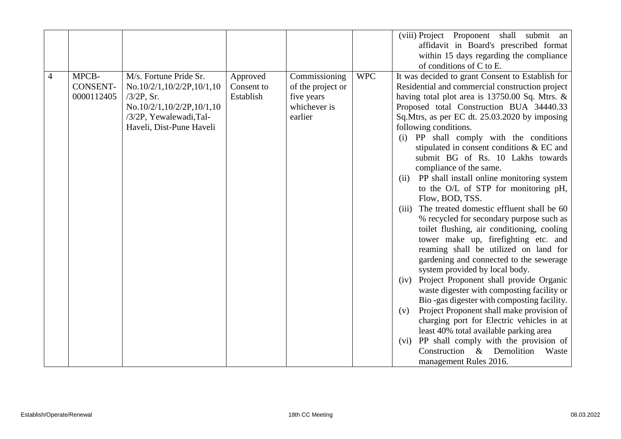|                |                                        |                                                                                                                                                         |                                     |                                                                             |            | (viii) Project Proponent<br>shall submit an<br>affidavit in Board's prescribed format<br>within 15 days regarding the compliance                                                                                                                                                                                                                                                                                                                                                                                                                                                                                                                                                                                                                                                                                                                                                                                                                                                                                                                                                                                                                                                                                                                                                |
|----------------|----------------------------------------|---------------------------------------------------------------------------------------------------------------------------------------------------------|-------------------------------------|-----------------------------------------------------------------------------|------------|---------------------------------------------------------------------------------------------------------------------------------------------------------------------------------------------------------------------------------------------------------------------------------------------------------------------------------------------------------------------------------------------------------------------------------------------------------------------------------------------------------------------------------------------------------------------------------------------------------------------------------------------------------------------------------------------------------------------------------------------------------------------------------------------------------------------------------------------------------------------------------------------------------------------------------------------------------------------------------------------------------------------------------------------------------------------------------------------------------------------------------------------------------------------------------------------------------------------------------------------------------------------------------|
|                |                                        |                                                                                                                                                         |                                     |                                                                             |            | of conditions of C to E.                                                                                                                                                                                                                                                                                                                                                                                                                                                                                                                                                                                                                                                                                                                                                                                                                                                                                                                                                                                                                                                                                                                                                                                                                                                        |
| $\overline{4}$ | MPCB-<br><b>CONSENT-</b><br>0000112405 | M/s. Fortune Pride Sr.<br>No.10/2/1,10/2/2P,10/1,10<br>$/3/2P$ , Sr.<br>No.10/2/1,10/2/2P,10/1,10<br>/3/2P, Yewalewadi,Tal-<br>Haveli, Dist-Pune Haveli | Approved<br>Consent to<br>Establish | Commissioning<br>of the project or<br>five years<br>whichever is<br>earlier | <b>WPC</b> | It was decided to grant Consent to Establish for<br>Residential and commercial construction project<br>having total plot area is 13750.00 Sq. Mtrs. &<br>Proposed total Construction BUA 34440.33<br>Sq.Mtrs, as per EC dt. 25.03.2020 by imposing<br>following conditions.<br>(i) PP shall comply with the conditions<br>stipulated in consent conditions & EC and<br>submit BG of Rs. 10 Lakhs towards<br>compliance of the same.<br>PP shall install online monitoring system<br>(ii)<br>to the O/L of STP for monitoring pH,<br>Flow, BOD, TSS.<br>The treated domestic effluent shall be 60<br>(iii)<br>% recycled for secondary purpose such as<br>toilet flushing, air conditioning, cooling<br>tower make up, firefighting etc. and<br>reaming shall be utilized on land for<br>gardening and connected to the sewerage<br>system provided by local body.<br>(iv) Project Proponent shall provide Organic<br>waste digester with composting facility or<br>Bio-gas digester with composting facility.<br>Project Proponent shall make provision of<br>(v)<br>charging port for Electric vehicles in at<br>least 40% total available parking area<br>(vi) PP shall comply with the provision of<br>Construction<br>$\&$<br>Demolition<br>Waste<br>management Rules 2016. |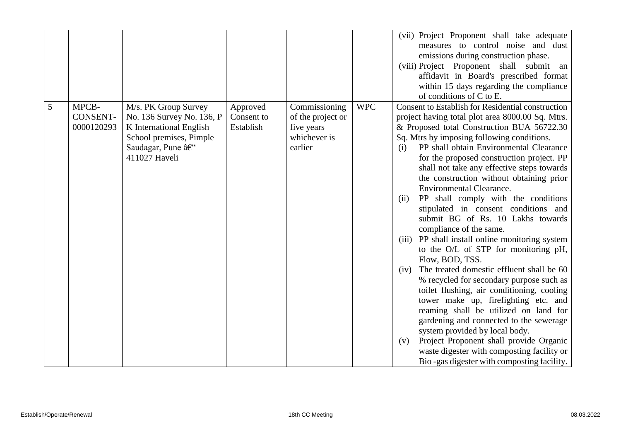|   |                 |                           |            |                   |            | (vii) Project Proponent shall take adequate              |
|---|-----------------|---------------------------|------------|-------------------|------------|----------------------------------------------------------|
|   |                 |                           |            |                   |            | measures to control noise and dust                       |
|   |                 |                           |            |                   |            | emissions during construction phase.                     |
|   |                 |                           |            |                   |            | (viii) Project Proponent shall submit<br>an              |
|   |                 |                           |            |                   |            | affidavit in Board's prescribed format                   |
|   |                 |                           |            |                   |            | within 15 days regarding the compliance                  |
|   |                 |                           |            |                   |            | of conditions of C to E.                                 |
| 5 | MPCB-           | M/s. PK Group Survey      | Approved   | Commissioning     | <b>WPC</b> | <b>Consent to Establish for Residential construction</b> |
|   | <b>CONSENT-</b> | No. 136 Survey No. 136, P | Consent to | of the project or |            | project having total plot area 8000.00 Sq. Mtrs.         |
|   | 0000120293      | K International English   | Establish  | five years        |            | & Proposed total Construction BUA 56722.30               |
|   |                 | School premises, Pimple   |            | whichever is      |            | Sq. Mtrs by imposing following conditions.               |
|   |                 | Saudagar, Pune –          |            | earlier           |            | PP shall obtain Environmental Clearance<br>(i)           |
|   |                 | 411027 Haveli             |            |                   |            | for the proposed construction project. PP                |
|   |                 |                           |            |                   |            | shall not take any effective steps towards               |
|   |                 |                           |            |                   |            | the construction without obtaining prior                 |
|   |                 |                           |            |                   |            | <b>Environmental Clearance.</b>                          |
|   |                 |                           |            |                   |            | PP shall comply with the conditions<br>(ii)              |
|   |                 |                           |            |                   |            | stipulated in consent conditions and                     |
|   |                 |                           |            |                   |            | submit BG of Rs. 10 Lakhs towards                        |
|   |                 |                           |            |                   |            | compliance of the same.                                  |
|   |                 |                           |            |                   |            | PP shall install online monitoring system<br>(iii)       |
|   |                 |                           |            |                   |            | to the O/L of STP for monitoring pH,                     |
|   |                 |                           |            |                   |            | Flow, BOD, TSS.                                          |
|   |                 |                           |            |                   |            | The treated domestic effluent shall be 60<br>(iv)        |
|   |                 |                           |            |                   |            | % recycled for secondary purpose such as                 |
|   |                 |                           |            |                   |            | toilet flushing, air conditioning, cooling               |
|   |                 |                           |            |                   |            | tower make up, firefighting etc. and                     |
|   |                 |                           |            |                   |            | reaming shall be utilized on land for                    |
|   |                 |                           |            |                   |            | gardening and connected to the sewerage                  |
|   |                 |                           |            |                   |            | system provided by local body.                           |
|   |                 |                           |            |                   |            | Project Proponent shall provide Organic<br>(v)           |
|   |                 |                           |            |                   |            | waste digester with composting facility or               |
|   |                 |                           |            |                   |            | Bio-gas digester with composting facility.               |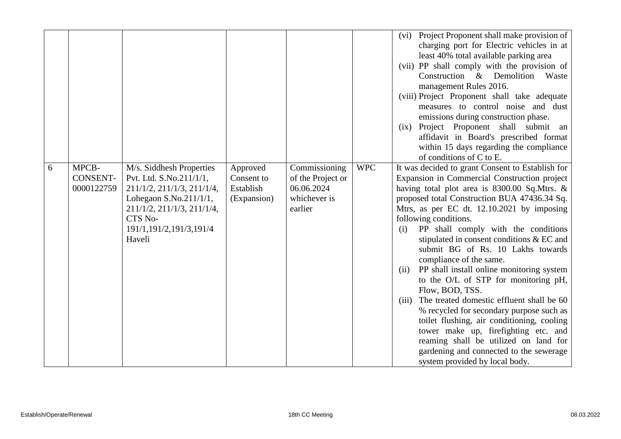|   |                                        |                                                                                                                                                                                               |                                                    |                                                                             |            | (vi) Project Proponent shall make provision of<br>charging port for Electric vehicles in at<br>least 40% total available parking area<br>(vii) PP shall comply with the provision of<br>Construction & Demolition<br>Waste<br>management Rules 2016.<br>(viii) Project Proponent shall take adequate<br>measures to control noise and dust<br>emissions during construction phase.<br>(ix) Project Proponent shall submit<br>an<br>affidavit in Board's prescribed format<br>within 15 days regarding the compliance<br>of conditions of C to E.                                                                                                                                                                                                                                                                                                                 |
|---|----------------------------------------|-----------------------------------------------------------------------------------------------------------------------------------------------------------------------------------------------|----------------------------------------------------|-----------------------------------------------------------------------------|------------|------------------------------------------------------------------------------------------------------------------------------------------------------------------------------------------------------------------------------------------------------------------------------------------------------------------------------------------------------------------------------------------------------------------------------------------------------------------------------------------------------------------------------------------------------------------------------------------------------------------------------------------------------------------------------------------------------------------------------------------------------------------------------------------------------------------------------------------------------------------|
| 6 | MPCB-<br><b>CONSENT-</b><br>0000122759 | M/s. Siddhesh Properties<br>Pvt. Ltd. S.No.211/1/1,<br>211/1/2, 211/1/3, 211/1/4,<br>Lohegaon S.No.21 $1/1/1$ ,<br>211/1/2, 211/1/3, 211/1/4,<br>CTS No-<br>191/1,191/2,191/3,191/4<br>Haveli | Approved<br>Consent to<br>Establish<br>(Expansion) | Commissioning<br>of the Project or<br>06.06.2024<br>whichever is<br>earlier | <b>WPC</b> | It was decided to grant Consent to Establish for<br>Expansion in Commercial Construction project<br>having total plot area is 8300.00 Sq.Mtrs. &<br>proposed total Construction BUA 47436.34 Sq.<br>Mtrs, as per EC dt. 12.10.2021 by imposing<br>following conditions.<br>PP shall comply with the conditions<br>(i)<br>stipulated in consent conditions & EC and<br>submit BG of Rs. 10 Lakhs towards<br>compliance of the same.<br>PP shall install online monitoring system<br>(ii)<br>to the O/L of STP for monitoring pH,<br>Flow, BOD, TSS.<br>The treated domestic effluent shall be 60<br>(iii)<br>% recycled for secondary purpose such as<br>toilet flushing, air conditioning, cooling<br>tower make up, firefighting etc. and<br>reaming shall be utilized on land for<br>gardening and connected to the sewerage<br>system provided by local body. |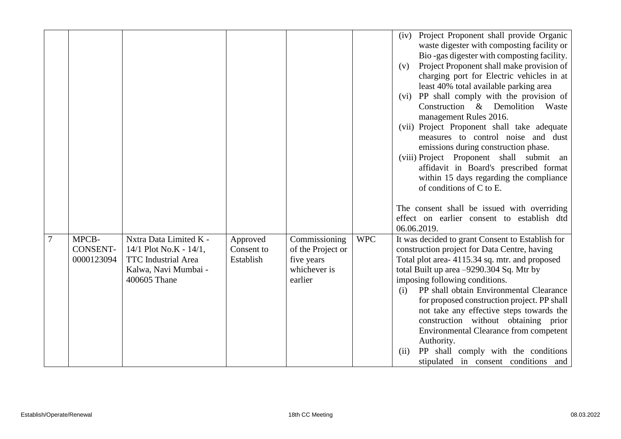|   |                                        |                                                                                                                           |                                     |                                                                             |            | Project Proponent shall provide Organic<br>(iv)<br>waste digester with composting facility or<br>Bio-gas digester with composting facility.<br>Project Proponent shall make provision of<br>(v)<br>charging port for Electric vehicles in at<br>least 40% total available parking area<br>(vi) PP shall comply with the provision of<br>Construction & Demolition<br>Waste<br>management Rules 2016.<br>(vii) Project Proponent shall take adequate<br>measures to control noise and dust<br>emissions during construction phase.<br>(viii) Project Proponent shall submit<br>an<br>affidavit in Board's prescribed format<br>within 15 days regarding the compliance<br>of conditions of C to E. |
|---|----------------------------------------|---------------------------------------------------------------------------------------------------------------------------|-------------------------------------|-----------------------------------------------------------------------------|------------|---------------------------------------------------------------------------------------------------------------------------------------------------------------------------------------------------------------------------------------------------------------------------------------------------------------------------------------------------------------------------------------------------------------------------------------------------------------------------------------------------------------------------------------------------------------------------------------------------------------------------------------------------------------------------------------------------|
|   |                                        |                                                                                                                           |                                     |                                                                             |            | The consent shall be issued with overriding<br>effect on earlier consent to establish dtd<br>06.06.2019.                                                                                                                                                                                                                                                                                                                                                                                                                                                                                                                                                                                          |
| 7 | MPCB-<br><b>CONSENT-</b><br>0000123094 | Nxtra Data Limited K -<br>14/1 Plot No.K - $14/1$ ,<br><b>TTC</b> Industrial Area<br>Kalwa, Navi Mumbai -<br>400605 Thane | Approved<br>Consent to<br>Establish | Commissioning<br>of the Project or<br>five years<br>whichever is<br>earlier | <b>WPC</b> | It was decided to grant Consent to Establish for<br>construction project for Data Centre, having<br>Total plot area-4115.34 sq. mtr. and proposed<br>total Built up area -9290.304 Sq. Mtr by<br>imposing following conditions.<br>PP shall obtain Environmental Clearance<br>(i)<br>for proposed construction project. PP shall<br>not take any effective steps towards the<br>construction without obtaining prior<br>Environmental Clearance from competent<br>Authority.<br>PP shall comply with the conditions<br>(ii)<br>stipulated in consent conditions and                                                                                                                               |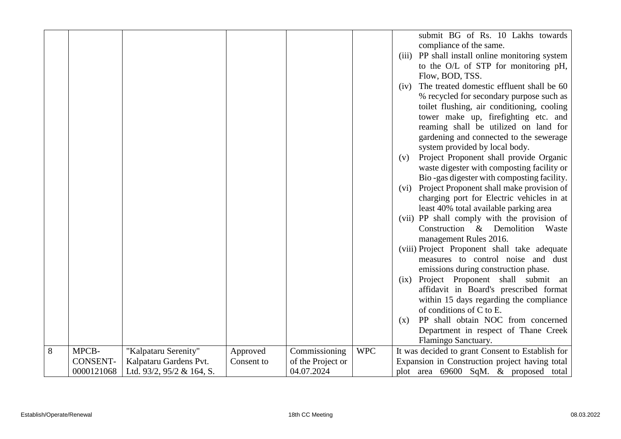|   |                 |                                |            |                   |            | submit BG of Rs. 10 Lakhs towards                 |
|---|-----------------|--------------------------------|------------|-------------------|------------|---------------------------------------------------|
|   |                 |                                |            |                   |            | compliance of the same.                           |
|   |                 |                                |            |                   |            |                                                   |
|   |                 |                                |            |                   |            | (iii) PP shall install online monitoring system   |
|   |                 |                                |            |                   |            | to the O/L of STP for monitoring pH,              |
|   |                 |                                |            |                   |            | Flow, BOD, TSS.                                   |
|   |                 |                                |            |                   |            | The treated domestic effluent shall be 60<br>(iv) |
|   |                 |                                |            |                   |            | % recycled for secondary purpose such as          |
|   |                 |                                |            |                   |            | toilet flushing, air conditioning, cooling        |
|   |                 |                                |            |                   |            | tower make up, firefighting etc. and              |
|   |                 |                                |            |                   |            | reaming shall be utilized on land for             |
|   |                 |                                |            |                   |            | gardening and connected to the sewerage           |
|   |                 |                                |            |                   |            | system provided by local body.                    |
|   |                 |                                |            |                   |            | Project Proponent shall provide Organic<br>(v)    |
|   |                 |                                |            |                   |            | waste digester with composting facility or        |
|   |                 |                                |            |                   |            | Bio-gas digester with composting facility.        |
|   |                 |                                |            |                   |            | (vi) Project Proponent shall make provision of    |
|   |                 |                                |            |                   |            | charging port for Electric vehicles in at         |
|   |                 |                                |            |                   |            | least 40% total available parking area            |
|   |                 |                                |            |                   |            | (vii) PP shall comply with the provision of       |
|   |                 |                                |            |                   |            | Construction & Demolition Waste                   |
|   |                 |                                |            |                   |            | management Rules 2016.                            |
|   |                 |                                |            |                   |            | (viii) Project Proponent shall take adequate      |
|   |                 |                                |            |                   |            | measures to control noise and dust                |
|   |                 |                                |            |                   |            | emissions during construction phase.              |
|   |                 |                                |            |                   |            | (ix) Project Proponent shall submit an            |
|   |                 |                                |            |                   |            | affidavit in Board's prescribed format            |
|   |                 |                                |            |                   |            |                                                   |
|   |                 |                                |            |                   |            | within 15 days regarding the compliance           |
|   |                 |                                |            |                   |            | of conditions of C to E.                          |
|   |                 |                                |            |                   |            | PP shall obtain NOC from concerned<br>(x)         |
|   |                 |                                |            |                   |            | Department in respect of Thane Creek              |
|   |                 |                                |            |                   |            | Flamingo Sanctuary.                               |
| 8 | MPCB-           | "Kalpataru Serenity"           | Approved   | Commissioning     | <b>WPC</b> | It was decided to grant Consent to Establish for  |
|   | <b>CONSENT-</b> | Kalpataru Gardens Pvt.         | Consent to | of the Project or |            | Expansion in Construction project having total    |
|   | 0000121068      | Ltd. $93/2$ , $95/2$ & 164, S. |            | 04.07.2024        |            | plot area 69600 SqM. & proposed total             |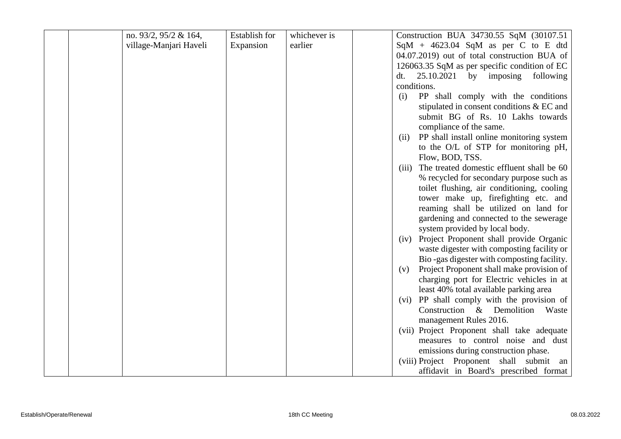| no. 93/2, 95/2 & 164,  | <b>Establish for</b> | whichever is | Construction BUA 34730.55 SqM (30107.51)           |
|------------------------|----------------------|--------------|----------------------------------------------------|
| village-Manjari Haveli | Expansion            | earlier      | $SqM + 4623.04$ SqM as per C to E dtd              |
|                        |                      |              | 04.07.2019) out of total construction BUA of       |
|                        |                      |              | 126063.35 SqM as per specific condition of EC      |
|                        |                      |              | 25.10.2021<br>by imposing<br>following<br>dt.      |
|                        |                      |              | conditions.                                        |
|                        |                      |              | PP shall comply with the conditions<br>(i)         |
|                        |                      |              | stipulated in consent conditions & EC and          |
|                        |                      |              | submit BG of Rs. 10 Lakhs towards                  |
|                        |                      |              | compliance of the same.                            |
|                        |                      |              | PP shall install online monitoring system<br>(ii)  |
|                        |                      |              | to the O/L of STP for monitoring pH,               |
|                        |                      |              | Flow, BOD, TSS.                                    |
|                        |                      |              | The treated domestic effluent shall be 60<br>(iii) |
|                        |                      |              | % recycled for secondary purpose such as           |
|                        |                      |              | toilet flushing, air conditioning, cooling         |
|                        |                      |              | tower make up, firefighting etc. and               |
|                        |                      |              | reaming shall be utilized on land for              |
|                        |                      |              | gardening and connected to the sewerage            |
|                        |                      |              | system provided by local body.                     |
|                        |                      |              | Project Proponent shall provide Organic<br>(iv)    |
|                        |                      |              | waste digester with composting facility or         |
|                        |                      |              | Bio-gas digester with composting facility.         |
|                        |                      |              | Project Proponent shall make provision of<br>(v)   |
|                        |                      |              | charging port for Electric vehicles in at          |
|                        |                      |              | least 40% total available parking area             |
|                        |                      |              | (vi) PP shall comply with the provision of         |
|                        |                      |              | Construction & Demolition Waste                    |
|                        |                      |              | management Rules 2016.                             |
|                        |                      |              | (vii) Project Proponent shall take adequate        |
|                        |                      |              | measures to control noise and dust                 |
|                        |                      |              | emissions during construction phase.               |
|                        |                      |              | (viii) Project Proponent shall submit an           |
|                        |                      |              | affidavit in Board's prescribed format             |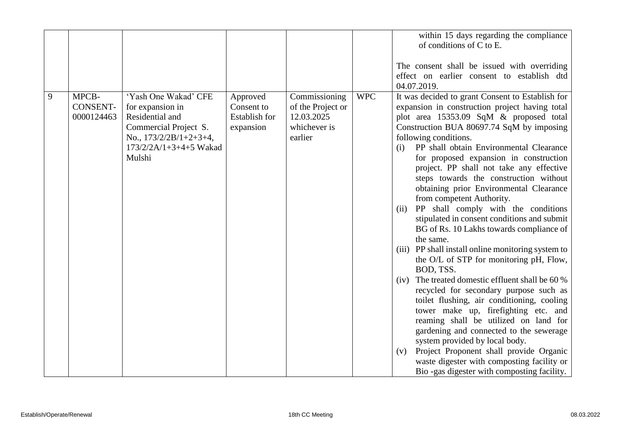|            |                               |                                                                                                                                                         |                                                      |                                                                             |            | within 15 days regarding the compliance<br>of conditions of C to E.<br>The consent shall be issued with overriding<br>effect on earlier consent to establish dtd<br>04.07.2019.                                                                                                                                                                                                                                                                                                                                                                                                                                                                                                                                                                                                                                                                                                                                                                                                                                                                                                                                                                                                                                |
|------------|-------------------------------|---------------------------------------------------------------------------------------------------------------------------------------------------------|------------------------------------------------------|-----------------------------------------------------------------------------|------------|----------------------------------------------------------------------------------------------------------------------------------------------------------------------------------------------------------------------------------------------------------------------------------------------------------------------------------------------------------------------------------------------------------------------------------------------------------------------------------------------------------------------------------------------------------------------------------------------------------------------------------------------------------------------------------------------------------------------------------------------------------------------------------------------------------------------------------------------------------------------------------------------------------------------------------------------------------------------------------------------------------------------------------------------------------------------------------------------------------------------------------------------------------------------------------------------------------------|
| MPCB-<br>9 | <b>CONSENT-</b><br>0000124463 | 'Yash One Wakad' CFE<br>for expansion in<br>Residential and<br>Commercial Project S.<br>No., $173/2/2B/1+2+3+4$ ,<br>$173/2/2A/1+3+4+5$ Wakad<br>Mulshi | Approved<br>Consent to<br>Establish for<br>expansion | Commissioning<br>of the Project or<br>12.03.2025<br>whichever is<br>earlier | <b>WPC</b> | It was decided to grant Consent to Establish for<br>expansion in construction project having total<br>plot area 15353.09 SqM & proposed total<br>Construction BUA 80697.74 SqM by imposing<br>following conditions.<br>PP shall obtain Environmental Clearance<br>(i)<br>for proposed expansion in construction<br>project. PP shall not take any effective<br>steps towards the construction without<br>obtaining prior Environmental Clearance<br>from competent Authority.<br>PP shall comply with the conditions<br>(ii)<br>stipulated in consent conditions and submit<br>BG of Rs. 10 Lakhs towards compliance of<br>the same.<br>(iii) PP shall install online monitoring system to<br>the O/L of STP for monitoring pH, Flow,<br>BOD, TSS.<br>The treated domestic effluent shall be 60 %<br>(iv)<br>recycled for secondary purpose such as<br>toilet flushing, air conditioning, cooling<br>tower make up, firefighting etc. and<br>reaming shall be utilized on land for<br>gardening and connected to the sewerage<br>system provided by local body.<br>Project Proponent shall provide Organic<br>(v)<br>waste digester with composting facility or<br>Bio -gas digester with composting facility. |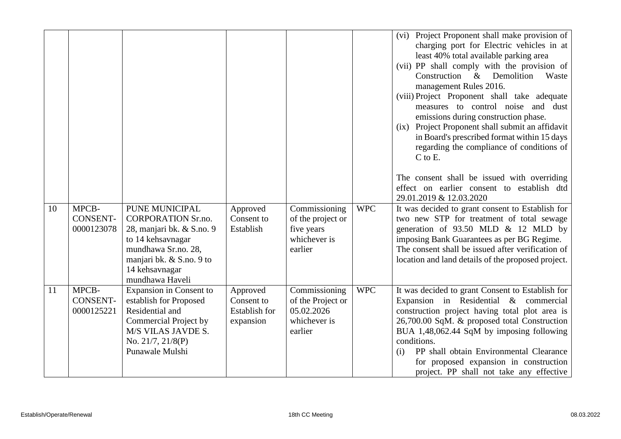|    |                                        |                                                                                                                                                                                       |                                                             |                                                                                                 |            | (vi) Project Proponent shall make provision of<br>charging port for Electric vehicles in at<br>least 40% total available parking area<br>(vii) PP shall comply with the provision of<br>Construction &<br>Demolition<br>Waste<br>management Rules 2016.<br>(viii) Project Proponent shall take adequate<br>measures to control noise and dust<br>emissions during construction phase.<br>(ix) Project Proponent shall submit an affidavit<br>in Board's prescribed format within 15 days<br>regarding the compliance of conditions of<br>$C$ to $E$ .<br>The consent shall be issued with overriding<br>effect on earlier consent to establish dtd |
|----|----------------------------------------|---------------------------------------------------------------------------------------------------------------------------------------------------------------------------------------|-------------------------------------------------------------|-------------------------------------------------------------------------------------------------|------------|----------------------------------------------------------------------------------------------------------------------------------------------------------------------------------------------------------------------------------------------------------------------------------------------------------------------------------------------------------------------------------------------------------------------------------------------------------------------------------------------------------------------------------------------------------------------------------------------------------------------------------------------------|
| 10 | MPCB-<br><b>CONSENT-</b><br>0000123078 | PUNE MUNICIPAL<br><b>CORPORATION Sr.no.</b><br>28, manjari bk. & S.no. 9<br>to 14 kehsavnagar<br>mundhawa Sr.no. 28,<br>manjari bk. & S.no. 9 to<br>14 kehsavnagar<br>mundhawa Haveli | Approved<br>Consent to<br>Establish                         | $\overline{\text{Commissioning}}$<br>of the project or<br>five years<br>whichever is<br>earlier | <b>WPC</b> | 29.01.2019 & 12.03.2020<br>It was decided to grant consent to Establish for<br>two new STP for treatment of total sewage<br>generation of $93.50$ MLD & 12 MLD by<br>imposing Bank Guarantees as per BG Regime.<br>The consent shall be issued after verification of<br>location and land details of the proposed project.                                                                                                                                                                                                                                                                                                                         |
| 11 | MPCB-<br><b>CONSENT-</b><br>0000125221 | Expansion in Consent to<br>establish for Proposed<br>Residential and<br>Commercial Project by<br>M/S VILAS JAVDE S.<br>No. 21/7, 21/8(P)<br>Punawale Mulshi                           | Approved<br>Consent to<br><b>Establish</b> for<br>expansion | Commissioning<br>of the Project or<br>05.02.2026<br>whichever is<br>earlier                     | <b>WPC</b> | It was decided to grant Consent to Establish for<br>Expansion in Residential & commercial<br>construction project having total plot area is<br>26,700.00 SqM. & proposed total Construction<br>BUA 1,48,062.44 SqM by imposing following<br>conditions.<br>PP shall obtain Environmental Clearance<br>(i)<br>for proposed expansion in construction<br>project. PP shall not take any effective                                                                                                                                                                                                                                                    |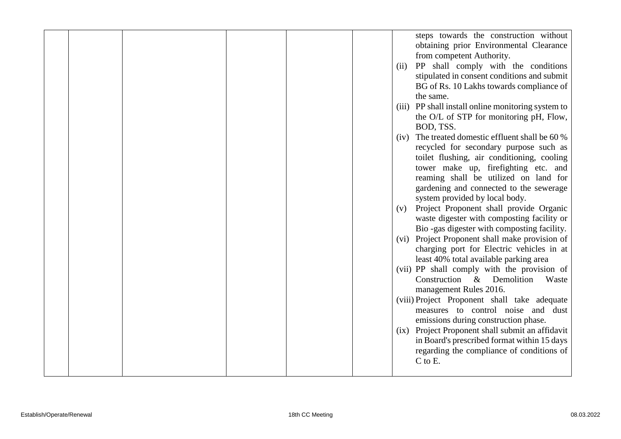|  |  |  |      | steps towards the construction without                                                          |
|--|--|--|------|-------------------------------------------------------------------------------------------------|
|  |  |  |      | obtaining prior Environmental Clearance                                                         |
|  |  |  |      | from competent Authority.                                                                       |
|  |  |  | (ii) | PP shall comply with the conditions                                                             |
|  |  |  |      | stipulated in consent conditions and submit                                                     |
|  |  |  |      | BG of Rs. 10 Lakhs towards compliance of                                                        |
|  |  |  |      | the same.                                                                                       |
|  |  |  |      | (iii) PP shall install online monitoring system to                                              |
|  |  |  |      | the O/L of STP for monitoring pH, Flow,                                                         |
|  |  |  |      | BOD, TSS.                                                                                       |
|  |  |  |      | (iv) The treated domestic effluent shall be 60 %                                                |
|  |  |  |      | recycled for secondary purpose such as                                                          |
|  |  |  |      | toilet flushing, air conditioning, cooling                                                      |
|  |  |  |      | tower make up, firefighting etc. and                                                            |
|  |  |  |      | reaming shall be utilized on land for                                                           |
|  |  |  |      | gardening and connected to the sewerage                                                         |
|  |  |  |      | system provided by local body.                                                                  |
|  |  |  | (v)  | Project Proponent shall provide Organic                                                         |
|  |  |  |      | waste digester with composting facility or                                                      |
|  |  |  |      | Bio-gas digester with composting facility.                                                      |
|  |  |  |      | (vi) Project Proponent shall make provision of                                                  |
|  |  |  |      | charging port for Electric vehicles in at                                                       |
|  |  |  |      | least 40% total available parking area                                                          |
|  |  |  |      | (vii) PP shall comply with the provision of                                                     |
|  |  |  |      | Construction & Demolition<br>Waste                                                              |
|  |  |  |      | management Rules 2016.                                                                          |
|  |  |  |      | (viii) Project Proponent shall take adequate                                                    |
|  |  |  |      | measures to control noise and dust                                                              |
|  |  |  |      | emissions during construction phase.                                                            |
|  |  |  |      | (ix) Project Proponent shall submit an affidavit<br>in Board's prescribed format within 15 days |
|  |  |  |      | regarding the compliance of conditions of                                                       |
|  |  |  |      | $C$ to $E$ .                                                                                    |
|  |  |  |      |                                                                                                 |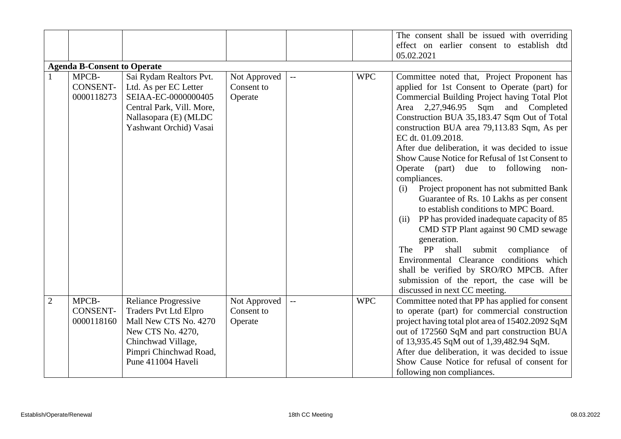|                |                                        |                                                                                                                                                                                 |                                       |                                               |            | The consent shall be issued with overriding<br>effect on earlier consent to establish dtd<br>05.02.2021                                                                                                                                                                                                                                                                                                                                                                                                                                                                                                                                                                                                                                                                                                                                                                                                                                         |  |  |  |  |  |
|----------------|----------------------------------------|---------------------------------------------------------------------------------------------------------------------------------------------------------------------------------|---------------------------------------|-----------------------------------------------|------------|-------------------------------------------------------------------------------------------------------------------------------------------------------------------------------------------------------------------------------------------------------------------------------------------------------------------------------------------------------------------------------------------------------------------------------------------------------------------------------------------------------------------------------------------------------------------------------------------------------------------------------------------------------------------------------------------------------------------------------------------------------------------------------------------------------------------------------------------------------------------------------------------------------------------------------------------------|--|--|--|--|--|
|                | <b>Agenda B-Consent to Operate</b>     |                                                                                                                                                                                 |                                       |                                               |            |                                                                                                                                                                                                                                                                                                                                                                                                                                                                                                                                                                                                                                                                                                                                                                                                                                                                                                                                                 |  |  |  |  |  |
|                | MPCB-<br><b>CONSENT-</b><br>0000118273 | Sai Rydam Realtors Pvt.<br>Ltd. As per EC Letter<br>SEIAA-EC-0000000405<br>Central Park, Vill. More,<br>Nallasopara (E) (MLDC<br>Yashwant Orchid) Vasai                         | Not Approved<br>Consent to<br>Operate | $\mathord{\hspace{1pt}\text{--}\hspace{1pt}}$ | <b>WPC</b> | Committee noted that, Project Proponent has<br>applied for 1st Consent to Operate (part) for<br>Commercial Building Project having Total Plot<br>Area 2,27,946.95 Sqm and Completed<br>Construction BUA 35,183.47 Sqm Out of Total<br>construction BUA area 79,113.83 Sqm, As per<br>EC dt. 01.09.2018.<br>After due deliberation, it was decided to issue<br>Show Cause Notice for Refusal of 1st Consent to<br>Operate (part) due to following<br>non-<br>compliances.<br>Project proponent has not submitted Bank<br>(i)<br>Guarantee of Rs. 10 Lakhs as per consent<br>to establish conditions to MPC Board.<br>PP has provided inadequate capacity of 85<br>(ii)<br>CMD STP Plant against 90 CMD sewage<br>generation.<br>PP<br>shall<br>The<br>submit compliance of<br>Environmental Clearance conditions which<br>shall be verified by SRO/RO MPCB. After<br>submission of the report, the case will be<br>discussed in next CC meeting. |  |  |  |  |  |
| $\overline{2}$ | MPCB-<br><b>CONSENT-</b><br>0000118160 | <b>Reliance Progressive</b><br><b>Traders Pvt Ltd Elpro</b><br>Mall New CTS No. 4270<br>New CTS No. 4270,<br>Chinchwad Village,<br>Pimpri Chinchwad Road,<br>Pune 411004 Haveli | Not Approved<br>Consent to<br>Operate | $\overline{\phantom{a}}$                      | <b>WPC</b> | Committee noted that PP has applied for consent<br>to operate (part) for commercial construction<br>project having total plot area of 15402.2092 SqM<br>out of 172560 SqM and part construction BUA<br>of 13,935.45 SqM out of 1,39,482.94 SqM.<br>After due deliberation, it was decided to issue<br>Show Cause Notice for refusal of consent for<br>following non compliances.                                                                                                                                                                                                                                                                                                                                                                                                                                                                                                                                                                |  |  |  |  |  |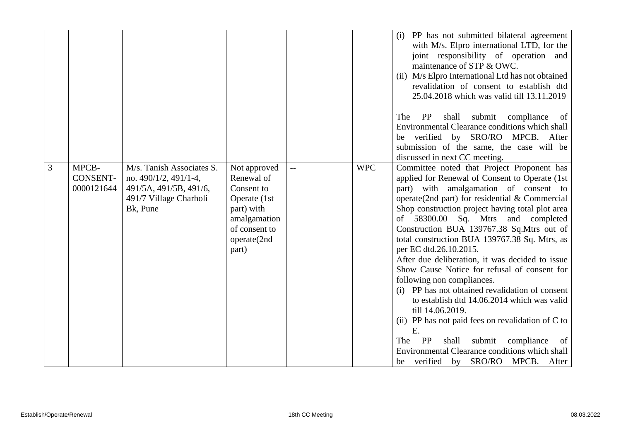|   |                                 |                                                                                                                          |                                                                                                                                 |            | (i) PP has not submitted bilateral agreement<br>with M/s. Elpro international LTD, for the<br>joint responsibility of operation and<br>maintenance of STP & OWC.<br>(ii) M/s Elpro International Ltd has not obtained<br>revalidation of consent to establish dtd<br>25.04.2018 which was valid till 13.11.2019                                                                                                                                                                                                                                                                                                                                                                                                                                                                                                                                                                                              |
|---|---------------------------------|--------------------------------------------------------------------------------------------------------------------------|---------------------------------------------------------------------------------------------------------------------------------|------------|--------------------------------------------------------------------------------------------------------------------------------------------------------------------------------------------------------------------------------------------------------------------------------------------------------------------------------------------------------------------------------------------------------------------------------------------------------------------------------------------------------------------------------------------------------------------------------------------------------------------------------------------------------------------------------------------------------------------------------------------------------------------------------------------------------------------------------------------------------------------------------------------------------------|
|   |                                 |                                                                                                                          |                                                                                                                                 |            | shall<br>submit<br>compliance<br>The<br>PP<br>- of<br>Environmental Clearance conditions which shall<br>verified by SRO/RO MPCB. After<br>be<br>submission of the same, the case will be                                                                                                                                                                                                                                                                                                                                                                                                                                                                                                                                                                                                                                                                                                                     |
| 3 | MPCB-<br>CONSENT-<br>0000121644 | M/s. Tanish Associates S.<br>no. $490/1/2$ , $491/1-4$ ,<br>491/5A, 491/5B, 491/6,<br>491/7 Village Charholi<br>Bk, Pune | Not approved<br>Renewal of<br>Consent to<br>Operate (1st<br>part) with<br>amalgamation<br>of consent to<br>operate(2nd<br>part) | <b>WPC</b> | discussed in next CC meeting.<br>Committee noted that Project Proponent has<br>applied for Renewal of Consent to Operate (1st<br>part) with amalgamation of consent to<br>operate(2nd part) for residential $&$ Commercial<br>Shop construction project having total plot area<br>58300.00 Sq. Mtrs and completed<br>of<br>Construction BUA 139767.38 Sq.Mtrs out of<br>total construction BUA 139767.38 Sq. Mtrs, as<br>per EC dtd.26.10.2015.<br>After due deliberation, it was decided to issue<br>Show Cause Notice for refusal of consent for<br>following non compliances.<br>(i) PP has not obtained revalidation of consent<br>to establish dtd 14.06.2014 which was valid<br>till 14.06.2019.<br>(ii) PP has not paid fees on revalidation of C to<br>E.<br>PP<br>The<br>shall<br>submit<br>compliance<br>of<br>Environmental Clearance conditions which shall<br>be verified by SRO/RO MPCB. After |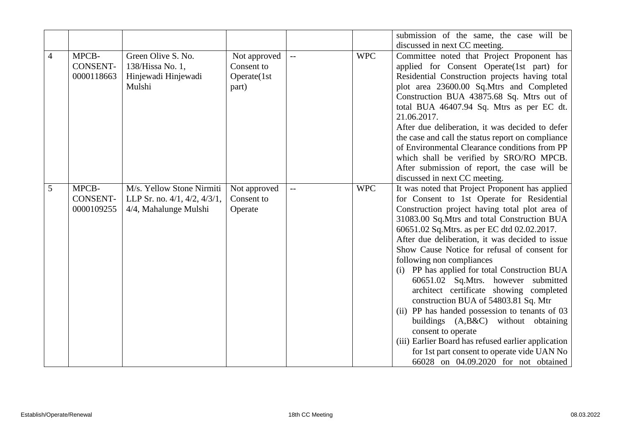|                |                 |                                       |              |                          |            | submission of the same, the case will be                  |
|----------------|-----------------|---------------------------------------|--------------|--------------------------|------------|-----------------------------------------------------------|
|                |                 |                                       |              |                          |            | discussed in next CC meeting.                             |
| $\overline{4}$ | MPCB-           | Green Olive S. No.                    | Not approved | $\overline{a}$           | <b>WPC</b> | Committee noted that Project Proponent has                |
|                | <b>CONSENT-</b> | 138/Hissa No. 1,                      | Consent to   |                          |            | applied for Consent Operate(1st part) for                 |
|                | 0000118663      | Hinjewadi Hinjewadi                   | Operate(1st  |                          |            | Residential Construction projects having total            |
|                |                 | Mulshi                                | part)        |                          |            | plot area 23600.00 Sq.Mtrs and Completed                  |
|                |                 |                                       |              |                          |            | Construction BUA 43875.68 Sq. Mtrs out of                 |
|                |                 |                                       |              |                          |            | total BUA 46407.94 Sq. Mtrs as per EC dt.                 |
|                |                 |                                       |              |                          |            | 21.06.2017.                                               |
|                |                 |                                       |              |                          |            | After due deliberation, it was decided to defer           |
|                |                 |                                       |              |                          |            | the case and call the status report on compliance         |
|                |                 |                                       |              |                          |            | of Environmental Clearance conditions from PP             |
|                |                 |                                       |              |                          |            | which shall be verified by SRO/RO MPCB.                   |
|                |                 |                                       |              |                          |            | After submission of report, the case will be              |
|                |                 |                                       |              |                          |            | discussed in next CC meeting.                             |
| 5              | MPCB-           | M/s. Yellow Stone Nirmiti             | Not approved | $\overline{\phantom{a}}$ | <b>WPC</b> | It was noted that Project Proponent has applied           |
|                | CONSENT-        | LLP Sr. no. $4/1$ , $4/2$ , $4/3/1$ , | Consent to   |                          |            | for Consent to 1st Operate for Residential                |
|                | 0000109255      | 4/4, Mahalunge Mulshi                 | Operate      |                          |            | Construction project having total plot area of            |
|                |                 |                                       |              |                          |            | 31083.00 Sq.Mtrs and total Construction BUA               |
|                |                 |                                       |              |                          |            | 60651.02 Sq. Mtrs. as per EC dtd 02.02.2017.              |
|                |                 |                                       |              |                          |            | After due deliberation, it was decided to issue           |
|                |                 |                                       |              |                          |            | Show Cause Notice for refusal of consent for              |
|                |                 |                                       |              |                          |            | following non compliances                                 |
|                |                 |                                       |              |                          |            | (i) PP has applied for total Construction BUA             |
|                |                 |                                       |              |                          |            | 60651.02 Sq.Mtrs. however submitted                       |
|                |                 |                                       |              |                          |            | architect certificate showing completed                   |
|                |                 |                                       |              |                          |            | construction BUA of 54803.81 Sq. Mtr                      |
|                |                 |                                       |              |                          |            | (ii) PP has handed possession to tenants of 03            |
|                |                 |                                       |              |                          |            | buildings (A,B&C) without obtaining<br>consent to operate |
|                |                 |                                       |              |                          |            | (iii) Earlier Board has refused earlier application       |
|                |                 |                                       |              |                          |            | for 1st part consent to operate vide UAN No               |
|                |                 |                                       |              |                          |            | 66028 on 04.09.2020 for not obtained                      |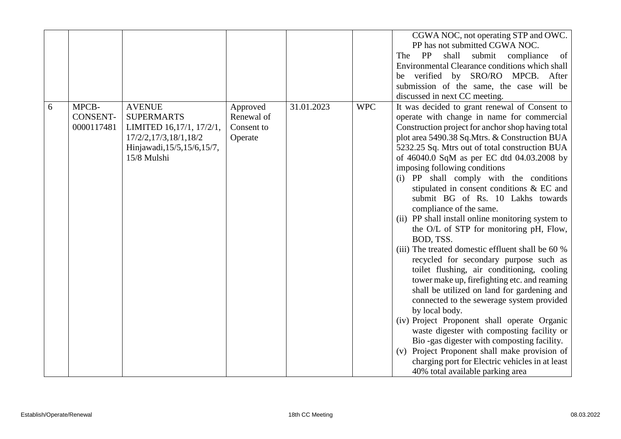|   |                                        |                                                                                                                                        |                                                 |            |            | CGWA NOC, not operating STP and OWC.<br>PP has not submitted CGWA NOC.<br>PP<br>shall<br>submit compliance<br>The<br>of<br>Environmental Clearance conditions which shall<br>verified by SRO/RO MPCB. After<br>be<br>submission of the same, the case will be<br>discussed in next CC meeting.                                                                                                                                                                                                                                                                                                                                                                                                                                                                                                                                                                                                                                                                                                                                                                                                                                                                                                         |
|---|----------------------------------------|----------------------------------------------------------------------------------------------------------------------------------------|-------------------------------------------------|------------|------------|--------------------------------------------------------------------------------------------------------------------------------------------------------------------------------------------------------------------------------------------------------------------------------------------------------------------------------------------------------------------------------------------------------------------------------------------------------------------------------------------------------------------------------------------------------------------------------------------------------------------------------------------------------------------------------------------------------------------------------------------------------------------------------------------------------------------------------------------------------------------------------------------------------------------------------------------------------------------------------------------------------------------------------------------------------------------------------------------------------------------------------------------------------------------------------------------------------|
| 6 | MPCB-<br><b>CONSENT-</b><br>0000117481 | <b>AVENUE</b><br><b>SUPERMARTS</b><br>LIMITED 16,17/1, 17/2/1,<br>17/2/2,17/3,18/1,18/2<br>Hinjawadi, 15/5, 15/6, 15/7,<br>15/8 Mulshi | Approved<br>Renewal of<br>Consent to<br>Operate | 31.01.2023 | <b>WPC</b> | It was decided to grant renewal of Consent to<br>operate with change in name for commercial<br>Construction project for anchor shop having total<br>plot area 5490.38 Sq.Mtrs. & Construction BUA<br>5232.25 Sq. Mtrs out of total construction BUA<br>of 46040.0 SqM as per EC dtd 04.03.2008 by<br>imposing following conditions<br>(i) PP shall comply with the conditions<br>stipulated in consent conditions & EC and<br>submit BG of Rs. 10 Lakhs towards<br>compliance of the same.<br>(ii) PP shall install online monitoring system to<br>the O/L of STP for monitoring pH, Flow,<br>BOD, TSS.<br>(iii) The treated domestic effluent shall be 60 %<br>recycled for secondary purpose such as<br>toilet flushing, air conditioning, cooling<br>tower make up, firefighting etc. and reaming<br>shall be utilized on land for gardening and<br>connected to the sewerage system provided<br>by local body.<br>(iv) Project Proponent shall operate Organic<br>waste digester with composting facility or<br>Bio-gas digester with composting facility.<br>(v) Project Proponent shall make provision of<br>charging port for Electric vehicles in at least<br>40% total available parking area |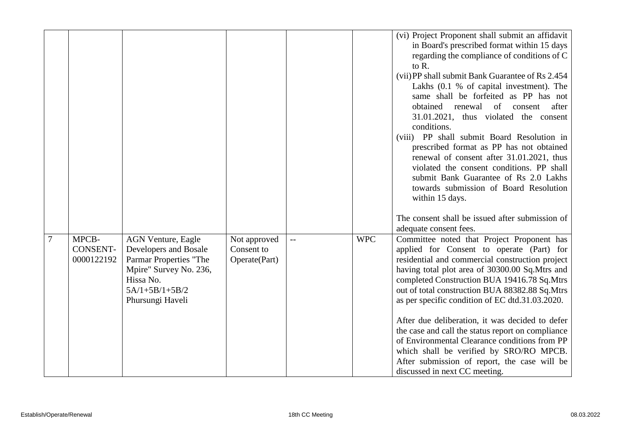|   |                 |                                                  |               |     |            | (vi) Project Proponent shall submit an affidavit<br>in Board's prescribed format within 15 days   |
|---|-----------------|--------------------------------------------------|---------------|-----|------------|---------------------------------------------------------------------------------------------------|
|   |                 |                                                  |               |     |            | regarding the compliance of conditions of C                                                       |
|   |                 |                                                  |               |     |            | to R.                                                                                             |
|   |                 |                                                  |               |     |            | (vii) PP shall submit Bank Guarantee of Rs 2.454                                                  |
|   |                 |                                                  |               |     |            | Lakhs (0.1 % of capital investment). The                                                          |
|   |                 |                                                  |               |     |            | same shall be forfeited as PP has not                                                             |
|   |                 |                                                  |               |     |            | renewal of<br>obtained<br>after<br>consent                                                        |
|   |                 |                                                  |               |     |            | 31.01.2021, thus violated the consent                                                             |
|   |                 |                                                  |               |     |            | conditions.                                                                                       |
|   |                 |                                                  |               |     |            | (viii) PP shall submit Board Resolution in                                                        |
|   |                 |                                                  |               |     |            | prescribed format as PP has not obtained                                                          |
|   |                 |                                                  |               |     |            | renewal of consent after 31.01.2021, thus<br>violated the consent conditions. PP shall            |
|   |                 |                                                  |               |     |            | submit Bank Guarantee of Rs 2.0 Lakhs                                                             |
|   |                 |                                                  |               |     |            | towards submission of Board Resolution                                                            |
|   |                 |                                                  |               |     |            | within 15 days.                                                                                   |
|   |                 |                                                  |               |     |            |                                                                                                   |
|   |                 |                                                  |               |     |            | The consent shall be issued after submission of                                                   |
|   |                 |                                                  |               |     |            | adequate consent fees.                                                                            |
| 7 | MPCB-           | <b>AGN Venture, Eagle</b>                        | Not approved  | $-$ | <b>WPC</b> | Committee noted that Project Proponent has                                                        |
|   | <b>CONSENT-</b> | Developers and Bosale                            | Consent to    |     |            | applied for Consent to operate (Part) for                                                         |
|   | 0000122192      | Parmar Properties "The<br>Mpire" Survey No. 236, | Operate(Part) |     |            | residential and commercial construction project<br>having total plot area of 30300.00 Sq.Mtrs and |
|   |                 | Hissa No.                                        |               |     |            | completed Construction BUA 19416.78 Sq.Mtrs                                                       |
|   |                 | $5A/1+5B/1+5B/2$                                 |               |     |            | out of total construction BUA 88382.88 Sq.Mtrs                                                    |
|   |                 | Phursungi Haveli                                 |               |     |            | as per specific condition of EC dtd.31.03.2020.                                                   |
|   |                 |                                                  |               |     |            |                                                                                                   |
|   |                 |                                                  |               |     |            | After due deliberation, it was decided to defer                                                   |
|   |                 |                                                  |               |     |            | the case and call the status report on compliance                                                 |
|   |                 |                                                  |               |     |            | of Environmental Clearance conditions from PP                                                     |
|   |                 |                                                  |               |     |            |                                                                                                   |
|   |                 |                                                  |               |     |            | which shall be verified by SRO/RO MPCB.<br>After submission of report, the case will be           |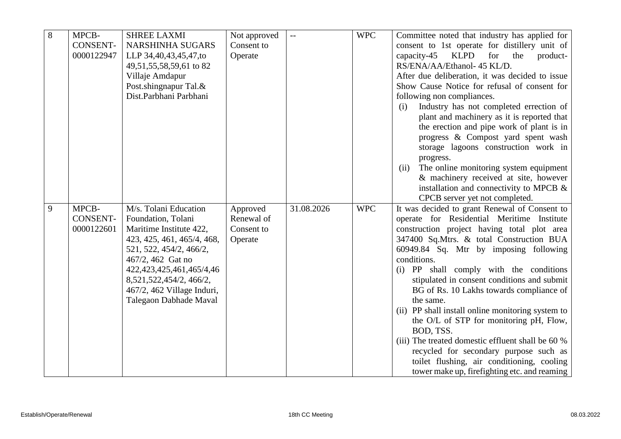| 8 | MPCB-           | <b>SHREE LAXMI</b>            | Not approved | $\mathbb{L} \mathbb{L}$ | <b>WPC</b> | Committee noted that industry has applied for                                              |
|---|-----------------|-------------------------------|--------------|-------------------------|------------|--------------------------------------------------------------------------------------------|
|   | <b>CONSENT-</b> | <b>NARSHINHA SUGARS</b>       | Consent to   |                         |            | consent to 1st operate for distillery unit of                                              |
|   | 0000122947      | LLP 34,40,43,45,47,to         | Operate      |                         |            | capacity-45<br><b>KLPD</b><br>for<br>the<br>product-                                       |
|   |                 | 49,51,55,58,59,61 to 82       |              |                         |            | RS/ENA/AA/Ethanol- 45 KL/D.                                                                |
|   |                 | Villaje Amdapur               |              |                         |            | After due deliberation, it was decided to issue                                            |
|   |                 | Post.shingnapur Tal.&         |              |                         |            | Show Cause Notice for refusal of consent for                                               |
|   |                 | Dist.Parbhani Parbhani        |              |                         |            | following non compliances.                                                                 |
|   |                 |                               |              |                         |            | Industry has not completed errection of<br>(i)                                             |
|   |                 |                               |              |                         |            |                                                                                            |
|   |                 |                               |              |                         |            | plant and machinery as it is reported that                                                 |
|   |                 |                               |              |                         |            | the erection and pipe work of plant is in                                                  |
|   |                 |                               |              |                         |            | progress & Compost yard spent wash                                                         |
|   |                 |                               |              |                         |            | storage lagoons construction work in                                                       |
|   |                 |                               |              |                         |            | progress.                                                                                  |
|   |                 |                               |              |                         |            | The online monitoring system equipment<br>(ii)                                             |
|   |                 |                               |              |                         |            | & machinery received at site, however                                                      |
|   |                 |                               |              |                         |            | installation and connectivity to MPCB $\&$                                                 |
|   |                 |                               |              |                         |            | CPCB server yet not completed.                                                             |
| 9 | MPCB-           | M/s. Tolani Education         | Approved     | 31.08.2026              | <b>WPC</b> | It was decided to grant Renewal of Consent to                                              |
|   | <b>CONSENT-</b> | Foundation, Tolani            | Renewal of   |                         |            | operate for Residential Meritime Institute                                                 |
|   | 0000122601      | Maritime Institute 422,       | Consent to   |                         |            | construction project having total plot area                                                |
|   |                 | 423, 425, 461, 465/4, 468,    | Operate      |                         |            | 347400 Sq.Mtrs. & total Construction BUA                                                   |
|   |                 | 521, 522, 454/2, 466/2,       |              |                         |            | 60949.84 Sq. Mtr by imposing following                                                     |
|   |                 | 467/2, 462 Gat no             |              |                         |            | conditions.                                                                                |
|   |                 | 422, 423, 425, 461, 465/4, 46 |              |                         |            | (i) PP shall comply with the conditions                                                    |
|   |                 | 8,521,522,454/2, 466/2,       |              |                         |            | stipulated in consent conditions and submit                                                |
|   |                 | 467/2, 462 Village Induri,    |              |                         |            | BG of Rs. 10 Lakhs towards compliance of                                                   |
|   |                 | Talegaon Dabhade Maval        |              |                         |            | the same.                                                                                  |
|   |                 |                               |              |                         |            | (ii) PP shall install online monitoring system to                                          |
|   |                 |                               |              |                         |            | the O/L of STP for monitoring pH, Flow,                                                    |
|   |                 |                               |              |                         |            | BOD, TSS.                                                                                  |
|   |                 |                               |              |                         |            | (iii) The treated domestic effluent shall be 60 %                                          |
|   |                 |                               |              |                         |            |                                                                                            |
|   |                 |                               |              |                         |            | recycled for secondary purpose such as                                                     |
|   |                 |                               |              |                         |            | toilet flushing, air conditioning, cooling<br>tower make up, firefighting etc. and reaming |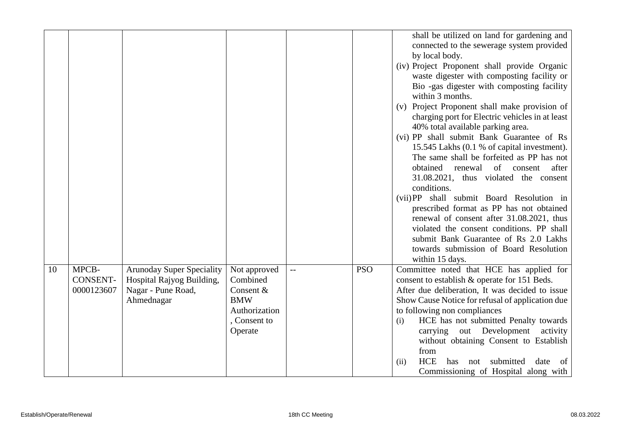|    |                                        |                                                                                                   |                                                                                               |            | shall be utilized on land for gardening and<br>connected to the sewerage system provided<br>by local body.<br>(iv) Project Proponent shall provide Organic<br>waste digester with composting facility or<br>Bio -gas digester with composting facility<br>within 3 months.<br>(v) Project Proponent shall make provision of<br>charging port for Electric vehicles in at least<br>40% total available parking area.<br>(vi) PP shall submit Bank Guarantee of Rs<br>15.545 Lakhs (0.1 % of capital investment).<br>The same shall be forfeited as PP has not<br>obtained renewal of consent<br>after<br>31.08.2021, thus violated the consent<br>conditions.<br>(vii) PP shall submit Board Resolution in<br>prescribed format as PP has not obtained<br>renewal of consent after 31.08.2021, thus<br>violated the consent conditions. PP shall<br>submit Bank Guarantee of Rs 2.0 Lakhs<br>towards submission of Board Resolution<br>within 15 days. |
|----|----------------------------------------|---------------------------------------------------------------------------------------------------|-----------------------------------------------------------------------------------------------|------------|-------------------------------------------------------------------------------------------------------------------------------------------------------------------------------------------------------------------------------------------------------------------------------------------------------------------------------------------------------------------------------------------------------------------------------------------------------------------------------------------------------------------------------------------------------------------------------------------------------------------------------------------------------------------------------------------------------------------------------------------------------------------------------------------------------------------------------------------------------------------------------------------------------------------------------------------------------|
| 10 | MPCB-<br><b>CONSENT-</b><br>0000123607 | <b>Arunoday Super Speciality</b><br>Hospital Rajyog Building,<br>Nagar - Pune Road,<br>Ahmednagar | Not approved<br>Combined<br>Consent &<br><b>BMW</b><br>Authorization<br>Consent to<br>Operate | <b>PSO</b> | Committee noted that HCE has applied for<br>consent to establish & operate for 151 Beds.<br>After due deliberation, It was decided to issue<br>Show Cause Notice for refusal of application due<br>to following non compliances<br>HCE has not submitted Penalty towards<br>(i)<br>carrying out Development<br>activity<br>without obtaining Consent to Establish<br>from<br><b>HCE</b><br>submitted<br>date<br>(ii)<br>has<br>of<br>not<br>Commissioning of Hospital along with                                                                                                                                                                                                                                                                                                                                                                                                                                                                      |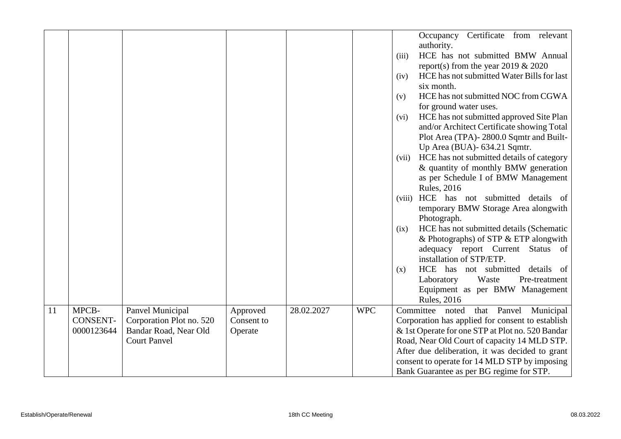|    |                 |                          |            |            |            | Occupancy Certificate from relevant                |
|----|-----------------|--------------------------|------------|------------|------------|----------------------------------------------------|
|    |                 |                          |            |            |            | authority.                                         |
|    |                 |                          |            |            |            | HCE has not submitted BMW Annual<br>(iii)          |
|    |                 |                          |            |            |            | report(s) from the year 2019 $& 2020$              |
|    |                 |                          |            |            |            | HCE has not submitted Water Bills for last<br>(iv) |
|    |                 |                          |            |            |            | six month.                                         |
|    |                 |                          |            |            |            | HCE has not submitted NOC from CGWA<br>(v)         |
|    |                 |                          |            |            |            | for ground water uses.                             |
|    |                 |                          |            |            |            | HCE has not submitted approved Site Plan<br>(vi)   |
|    |                 |                          |            |            |            | and/or Architect Certificate showing Total         |
|    |                 |                          |            |            |            | Plot Area (TPA)-2800.0 Sqmtr and Built-            |
|    |                 |                          |            |            |            | Up Area (BUA)- 634.21 Sqmtr.                       |
|    |                 |                          |            |            |            | HCE has not submitted details of category<br>(vii) |
|    |                 |                          |            |            |            | & quantity of monthly BMW generation               |
|    |                 |                          |            |            |            | as per Schedule I of BMW Management                |
|    |                 |                          |            |            |            | <b>Rules</b> , 2016                                |
|    |                 |                          |            |            |            | HCE has not submitted details of<br>(viii)         |
|    |                 |                          |            |            |            | temporary BMW Storage Area alongwith               |
|    |                 |                          |            |            |            | Photograph.                                        |
|    |                 |                          |            |            |            | HCE has not submitted details (Schematic<br>(ix)   |
|    |                 |                          |            |            |            | & Photographs) of STP $&$ ETP alongwith            |
|    |                 |                          |            |            |            | adequacy report Current Status of                  |
|    |                 |                          |            |            |            | installation of STP/ETP.                           |
|    |                 |                          |            |            |            | HCE has not submitted details of<br>(x)            |
|    |                 |                          |            |            |            | Waste<br>Laboratory<br>Pre-treatment               |
|    |                 |                          |            |            |            | Equipment as per BMW Management                    |
|    |                 |                          |            |            |            | <b>Rules</b> , 2016                                |
| 11 | MPCB-           | Panvel Municipal         | Approved   | 28.02.2027 | <b>WPC</b> | that Panvel<br>Committee noted<br>Municipal        |
|    | <b>CONSENT-</b> | Corporation Plot no. 520 | Consent to |            |            | Corporation has applied for consent to establish   |
|    | 0000123644      | Bandar Road, Near Old    | Operate    |            |            | & 1st Operate for one STP at Plot no. 520 Bandar   |
|    |                 | <b>Court Panvel</b>      |            |            |            | Road, Near Old Court of capacity 14 MLD STP.       |
|    |                 |                          |            |            |            | After due deliberation, it was decided to grant    |
|    |                 |                          |            |            |            | consent to operate for 14 MLD STP by imposing      |
|    |                 |                          |            |            |            | Bank Guarantee as per BG regime for STP.           |
|    |                 |                          |            |            |            |                                                    |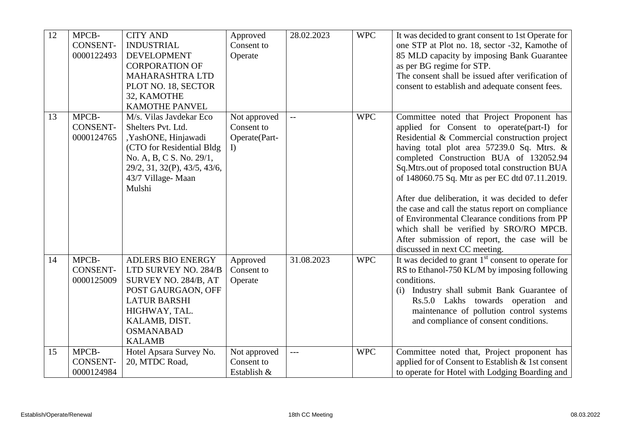| 12 | MPCB-<br><b>CONSENT-</b><br>0000122493 | <b>CITY AND</b><br><b>INDUSTRIAL</b><br><b>DEVELOPMENT</b><br><b>CORPORATION OF</b><br><b>MAHARASHTRA LTD</b><br>PLOT NO. 18, SECTOR<br>32, KAMOTHE<br><b>KAMOTHE PANVEL</b>                 | Approved<br>Consent to<br>Operate                | 28.02.2023 | <b>WPC</b> | It was decided to grant consent to 1st Operate for<br>one STP at Plot no. 18, sector -32, Kamothe of<br>85 MLD capacity by imposing Bank Guarantee<br>as per BG regime for STP.<br>The consent shall be issued after verification of<br>consent to establish and adequate consent fees.                                                                                                                                                                                                                                                                                                                                     |
|----|----------------------------------------|----------------------------------------------------------------------------------------------------------------------------------------------------------------------------------------------|--------------------------------------------------|------------|------------|-----------------------------------------------------------------------------------------------------------------------------------------------------------------------------------------------------------------------------------------------------------------------------------------------------------------------------------------------------------------------------------------------------------------------------------------------------------------------------------------------------------------------------------------------------------------------------------------------------------------------------|
| 13 | MPCB-<br><b>CONSENT-</b><br>0000124765 | M/s. Vilas Javdekar Eco<br>Shelters Pvt. Ltd.<br>,YashONE, Hinjawadi<br>(CTO for Residential Bldg<br>No. A, B, C S. No. 29/1,<br>29/2, 31, 32(P), 43/5, 43/6,<br>43/7 Village-Maan<br>Mulshi | Not approved<br>Consent to<br>Operate(Part-<br>I | $-$        | <b>WPC</b> | Committee noted that Project Proponent has<br>applied for Consent to operate(part-I) for<br>Residential & Commercial construction project<br>having total plot area 57239.0 Sq. Mtrs. &<br>completed Construction BUA of 132052.94<br>Sq.Mtrs.out of proposed total construction BUA<br>of 148060.75 Sq. Mtr as per EC dtd 07.11.2019.<br>After due deliberation, it was decided to defer<br>the case and call the status report on compliance<br>of Environmental Clearance conditions from PP<br>which shall be verified by SRO/RO MPCB.<br>After submission of report, the case will be<br>discussed in next CC meeting. |
| 14 | MPCB-<br>CONSENT-<br>0000125009        | <b>ADLERS BIO ENERGY</b><br>LTD SURVEY NO. 284/B<br>SURVEY NO. 284/B, AT<br>POST GAURGAON, OFF<br><b>LATUR BARSHI</b><br>HIGHWAY, TAL.<br>KALAMB, DIST.<br><b>OSMANABAD</b><br><b>KALAMB</b> | Approved<br>Consent to<br>Operate                | 31.08.2023 | <b>WPC</b> | It was decided to grant $1st$ consent to operate for<br>RS to Ethanol-750 KL/M by imposing following<br>conditions.<br>Industry shall submit Bank Guarantee of<br>(i)<br>Rs.5.0 Lakhs towards operation and<br>maintenance of pollution control systems<br>and compliance of consent conditions.                                                                                                                                                                                                                                                                                                                            |
| 15 | MPCB-<br>CONSENT-<br>0000124984        | Hotel Apsara Survey No.<br>20, MTDC Road,                                                                                                                                                    | Not approved<br>Consent to<br>Establish &        | $---$      | <b>WPC</b> | Committee noted that, Project proponent has<br>applied for of Consent to Establish & 1st consent<br>to operate for Hotel with Lodging Boarding and                                                                                                                                                                                                                                                                                                                                                                                                                                                                          |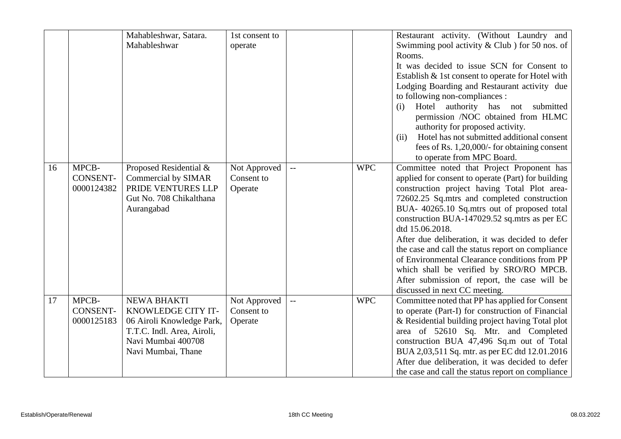|    |                                        | Mahableshwar, Satara.<br>Mahableshwar                                                                                                    | 1st consent to<br>operate             |                         |            | Restaurant activity. (Without Laundry and<br>Swimming pool activity $& Club$ ) for 50 nos. of<br>Rooms.<br>It was decided to issue SCN for Consent to<br>Establish & 1st consent to operate for Hotel with<br>Lodging Boarding and Restaurant activity due<br>to following non-compliances :<br>Hotel authority has not submitted<br>(i)<br>permission /NOC obtained from HLMC<br>authority for proposed activity.<br>Hotel has not submitted additional consent<br>(ii)<br>fees of Rs. $1,20,000/$ - for obtaining consent                                                                                                          |
|----|----------------------------------------|------------------------------------------------------------------------------------------------------------------------------------------|---------------------------------------|-------------------------|------------|--------------------------------------------------------------------------------------------------------------------------------------------------------------------------------------------------------------------------------------------------------------------------------------------------------------------------------------------------------------------------------------------------------------------------------------------------------------------------------------------------------------------------------------------------------------------------------------------------------------------------------------|
| 16 | MPCB-<br>CONSENT-<br>0000124382        | Proposed Residential &<br><b>Commercial by SIMAR</b><br>PRIDE VENTURES LLP<br>Gut No. 708 Chikalthana<br>Aurangabad                      | Not Approved<br>Consent to<br>Operate | $\overline{a}$          | <b>WPC</b> | to operate from MPC Board.<br>Committee noted that Project Proponent has<br>applied for consent to operate (Part) for building<br>construction project having Total Plot area-<br>72602.25 Sq.mtrs and completed construction<br>BUA- 40265.10 Sq.mtrs out of proposed total<br>construction BUA-147029.52 sq.mtrs as per EC<br>dtd 15.06.2018.<br>After due deliberation, it was decided to defer<br>the case and call the status report on compliance<br>of Environmental Clearance conditions from PP<br>which shall be verified by SRO/RO MPCB.<br>After submission of report, the case will be<br>discussed in next CC meeting. |
| 17 | MPCB-<br><b>CONSENT-</b><br>0000125183 | NEWA BHAKTI<br>KNOWLEDGE CITY IT-<br>06 Airoli Knowledge Park,<br>T.T.C. Indl. Area, Airoli,<br>Navi Mumbai 400708<br>Navi Mumbai, Thane | Not Approved<br>Consent to<br>Operate | $\mathbb{L} \mathbb{L}$ | <b>WPC</b> | Committee noted that PP has applied for Consent<br>to operate (Part-I) for construction of Financial<br>& Residential building project having Total plot<br>area of 52610 Sq. Mtr. and Completed<br>construction BUA 47,496 Sq.m out of Total<br>BUA 2,03,511 Sq. mtr. as per EC dtd 12.01.2016<br>After due deliberation, it was decided to defer<br>the case and call the status report on compliance                                                                                                                                                                                                                              |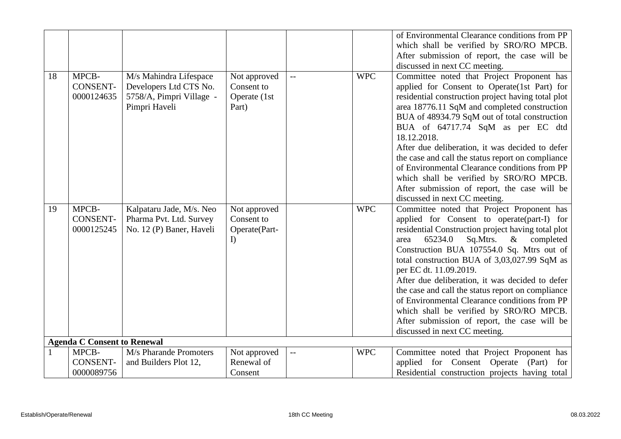|    |                                        |                                                                                               |                                                         |                          |            | of Environmental Clearance conditions from PP                                                                                                                                                                                                                                                                                                                                                                                                                                                                                                                                                                  |
|----|----------------------------------------|-----------------------------------------------------------------------------------------------|---------------------------------------------------------|--------------------------|------------|----------------------------------------------------------------------------------------------------------------------------------------------------------------------------------------------------------------------------------------------------------------------------------------------------------------------------------------------------------------------------------------------------------------------------------------------------------------------------------------------------------------------------------------------------------------------------------------------------------------|
|    |                                        |                                                                                               |                                                         |                          |            | which shall be verified by SRO/RO MPCB.                                                                                                                                                                                                                                                                                                                                                                                                                                                                                                                                                                        |
|    |                                        |                                                                                               |                                                         |                          |            | After submission of report, the case will be                                                                                                                                                                                                                                                                                                                                                                                                                                                                                                                                                                   |
|    |                                        |                                                                                               |                                                         |                          |            | discussed in next CC meeting.                                                                                                                                                                                                                                                                                                                                                                                                                                                                                                                                                                                  |
| 18 | MPCB-<br><b>CONSENT-</b><br>0000124635 | M/s Mahindra Lifespace<br>Developers Ltd CTS No.<br>5758/A, Pimpri Village -<br>Pimpri Haveli | Not approved<br>Consent to<br>Operate (1st<br>Part)     |                          | <b>WPC</b> | Committee noted that Project Proponent has<br>applied for Consent to Operate(1st Part) for<br>residential construction project having total plot<br>area 18776.11 SqM and completed construction<br>BUA of 48934.79 SqM out of total construction<br>BUA of 64717.74 SqM as per EC dtd<br>18.12.2018.<br>After due deliberation, it was decided to defer<br>the case and call the status report on compliance<br>of Environmental Clearance conditions from PP<br>which shall be verified by SRO/RO MPCB.<br>After submission of report, the case will be                                                      |
|    |                                        |                                                                                               |                                                         |                          |            | discussed in next CC meeting.                                                                                                                                                                                                                                                                                                                                                                                                                                                                                                                                                                                  |
| 19 | MPCB-<br><b>CONSENT-</b><br>0000125245 | Kalpataru Jade, M/s. Neo<br>Pharma Pvt. Ltd. Survey<br>No. 12 (P) Baner, Haveli               | Not approved<br>Consent to<br>Operate(Part-<br>$\Gamma$ |                          | <b>WPC</b> | Committee noted that Project Proponent has<br>applied for Consent to operate(part-I) for<br>residential Construction project having total plot<br>65234.0<br>Sq.Mtrs.<br>$\&$<br>completed<br>area<br>Construction BUA 107554.0 Sq. Mtrs out of<br>total construction BUA of 3,03,027.99 SqM as<br>per EC dt. 11.09.2019.<br>After due deliberation, it was decided to defer<br>the case and call the status report on compliance<br>of Environmental Clearance conditions from PP<br>which shall be verified by SRO/RO MPCB.<br>After submission of report, the case will be<br>discussed in next CC meeting. |
|    | <b>Agenda C Consent to Renewal</b>     |                                                                                               |                                                         |                          |            |                                                                                                                                                                                                                                                                                                                                                                                                                                                                                                                                                                                                                |
|    | MPCB-                                  | M/s Pharande Promoters                                                                        | Not approved                                            | $\overline{\phantom{m}}$ | <b>WPC</b> | Committee noted that Project Proponent has                                                                                                                                                                                                                                                                                                                                                                                                                                                                                                                                                                     |
|    | <b>CONSENT-</b>                        | and Builders Plot 12,                                                                         | Renewal of                                              |                          |            | applied for Consent Operate (Part)<br>for                                                                                                                                                                                                                                                                                                                                                                                                                                                                                                                                                                      |
|    | 0000089756                             |                                                                                               | Consent                                                 |                          |            | Residential construction projects having total                                                                                                                                                                                                                                                                                                                                                                                                                                                                                                                                                                 |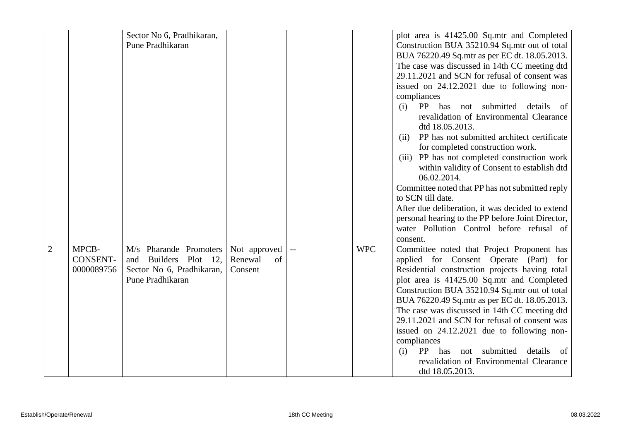|                |                                        | Sector No 6, Pradhikaran,<br>Pune Pradhikaran                                                       |                                          |                         |            | plot area is 41425.00 Sq.mtr and Completed<br>Construction BUA 35210.94 Sq.mtr out of total<br>BUA 76220.49 Sq.mtr as per EC dt. 18.05.2013.<br>The case was discussed in 14th CC meeting dtd<br>29.11.2021 and SCN for refusal of consent was<br>issued on 24.12.2021 due to following non-<br>compliances<br>PP has not submitted<br>details<br>(i)<br>- of<br>revalidation of Environmental Clearance                                                                                                                                                                    |
|----------------|----------------------------------------|-----------------------------------------------------------------------------------------------------|------------------------------------------|-------------------------|------------|-----------------------------------------------------------------------------------------------------------------------------------------------------------------------------------------------------------------------------------------------------------------------------------------------------------------------------------------------------------------------------------------------------------------------------------------------------------------------------------------------------------------------------------------------------------------------------|
|                |                                        |                                                                                                     |                                          |                         |            | dtd 18.05.2013.<br>PP has not submitted architect certificate<br>(ii)<br>for completed construction work.<br>(iii) PP has not completed construction work<br>within validity of Consent to establish dtd<br>06.02.2014.<br>Committee noted that PP has not submitted reply<br>to SCN till date.<br>After due deliberation, it was decided to extend<br>personal hearing to the PP before Joint Director,<br>water Pollution Control before refusal of<br>consent.                                                                                                           |
| $\overline{2}$ | MPCB-<br><b>CONSENT-</b><br>0000089756 | M/s Pharande Promoters<br>Builders Plot 12,<br>and<br>Sector No 6, Pradhikaran,<br>Pune Pradhikaran | Not approved<br>Renewal<br>of<br>Consent | $\mathbb{L} \mathbb{L}$ | <b>WPC</b> | Committee noted that Project Proponent has<br>applied for Consent Operate (Part) for<br>Residential construction projects having total<br>plot area is 41425.00 Sq.mtr and Completed<br>Construction BUA 35210.94 Sq.mtr out of total<br>BUA 76220.49 Sq.mtr as per EC dt. 18.05.2013.<br>The case was discussed in 14th CC meeting dtd<br>29.11.2021 and SCN for refusal of consent was<br>issued on 24.12.2021 due to following non-<br>compliances<br>PP has<br>submitted<br>details<br>(i)<br>not<br>- of<br>revalidation of Environmental Clearance<br>dtd 18.05.2013. |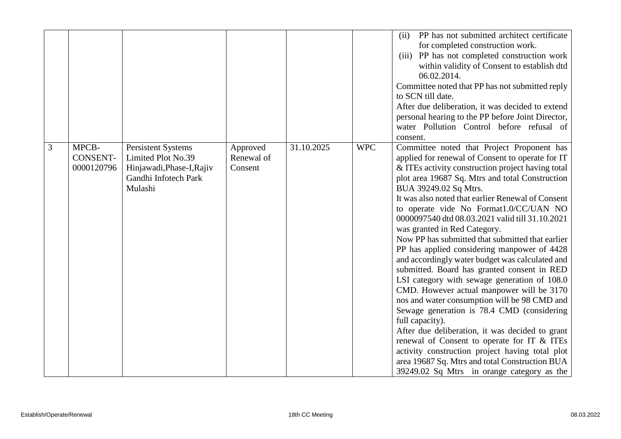|   |                                 |                                                                                                                 |                                   |            |            | PP has not submitted architect certificate<br>(ii)<br>for completed construction work.<br>(iii) PP has not completed construction work<br>within validity of Consent to establish dtd<br>06.02.2014.<br>Committee noted that PP has not submitted reply<br>to SCN till date.<br>After due deliberation, it was decided to extend<br>personal hearing to the PP before Joint Director,                                                                                                                                                                                                                                                                                                                                                                                                                                                                                                                                                                                                                                                                                                     |
|---|---------------------------------|-----------------------------------------------------------------------------------------------------------------|-----------------------------------|------------|------------|-------------------------------------------------------------------------------------------------------------------------------------------------------------------------------------------------------------------------------------------------------------------------------------------------------------------------------------------------------------------------------------------------------------------------------------------------------------------------------------------------------------------------------------------------------------------------------------------------------------------------------------------------------------------------------------------------------------------------------------------------------------------------------------------------------------------------------------------------------------------------------------------------------------------------------------------------------------------------------------------------------------------------------------------------------------------------------------------|
|   |                                 |                                                                                                                 |                                   |            |            | water Pollution Control before refusal of<br>consent.                                                                                                                                                                                                                                                                                                                                                                                                                                                                                                                                                                                                                                                                                                                                                                                                                                                                                                                                                                                                                                     |
| 3 | MPCB-<br>CONSENT-<br>0000120796 | <b>Persistent Systems</b><br>Limited Plot No.39<br>Hinjawadi, Phase-I, Rajiv<br>Gandhi Infotech Park<br>Mulashi | Approved<br>Renewal of<br>Consent | 31.10.2025 | <b>WPC</b> | Committee noted that Project Proponent has<br>applied for renewal of Consent to operate for IT<br>& ITEs activity construction project having total<br>plot area 19687 Sq. Mtrs and total Construction<br>BUA 39249.02 Sq Mtrs.<br>It was also noted that earlier Renewal of Consent<br>to operate vide No Format1.0/CC/UAN NO<br>0000097540 dtd 08.03.2021 valid till 31.10.2021<br>was granted in Red Category.<br>Now PP has submitted that submitted that earlier<br>PP has applied considering manpower of 4428<br>and accordingly water budget was calculated and<br>submitted. Board has granted consent in RED<br>LSI category with sewage generation of 108.0<br>CMD. However actual manpower will be 3170<br>nos and water consumption will be 98 CMD and<br>Sewage generation is 78.4 CMD (considering<br>full capacity).<br>After due deliberation, it was decided to grant<br>renewal of Consent to operate for IT & ITEs<br>activity construction project having total plot<br>area 19687 Sq. Mtrs and total Construction BUA<br>39249.02 Sq Mtrs in orange category as the |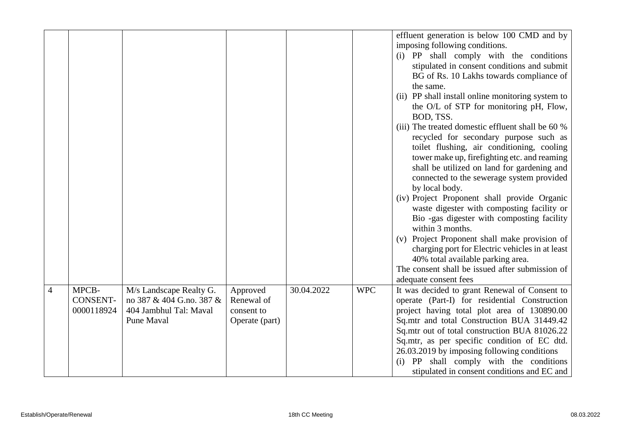|                |                                        |                                                                               |                              |            |            | effluent generation is below 100 CMD and by<br>imposing following conditions.<br>(i) PP shall comply with the conditions<br>stipulated in consent conditions and submit<br>BG of Rs. 10 Lakhs towards compliance of<br>the same.<br>(ii) PP shall install online monitoring system to<br>the O/L of STP for monitoring pH, Flow,<br>BOD, TSS.<br>(iii) The treated domestic effluent shall be 60 %<br>recycled for secondary purpose such as<br>toilet flushing, air conditioning, cooling<br>tower make up, firefighting etc. and reaming<br>shall be utilized on land for gardening and<br>connected to the sewerage system provided<br>by local body.<br>(iv) Project Proponent shall provide Organic<br>waste digester with composting facility or<br>Bio -gas digester with composting facility<br>within 3 months.<br>(v) Project Proponent shall make provision of<br>charging port for Electric vehicles in at least<br>40% total available parking area.<br>The consent shall be issued after submission of<br>adequate consent fees |
|----------------|----------------------------------------|-------------------------------------------------------------------------------|------------------------------|------------|------------|-----------------------------------------------------------------------------------------------------------------------------------------------------------------------------------------------------------------------------------------------------------------------------------------------------------------------------------------------------------------------------------------------------------------------------------------------------------------------------------------------------------------------------------------------------------------------------------------------------------------------------------------------------------------------------------------------------------------------------------------------------------------------------------------------------------------------------------------------------------------------------------------------------------------------------------------------------------------------------------------------------------------------------------------------|
| $\overline{4}$ | MPCB-<br><b>CONSENT-</b><br>0000118924 | M/s Landscape Realty G.<br>no 387 & 404 G.no. 387 &<br>404 Jambhul Tal: Maval | Approved<br>Renewal of       | 30.04.2022 | <b>WPC</b> | It was decided to grant Renewal of Consent to<br>operate (Part-I) for residential Construction                                                                                                                                                                                                                                                                                                                                                                                                                                                                                                                                                                                                                                                                                                                                                                                                                                                                                                                                                |
|                |                                        | Pune Maval                                                                    | consent to<br>Operate (part) |            |            | project having total plot area of 130890.00<br>Sq.mtr and total Construction BUA 31449.42<br>Sq.mtr out of total construction BUA 81026.22<br>Sq.mtr, as per specific condition of EC dtd.<br>26.03.2019 by imposing following conditions<br>(i) PP shall comply with the conditions<br>stipulated in consent conditions and EC and                                                                                                                                                                                                                                                                                                                                                                                                                                                                                                                                                                                                                                                                                                           |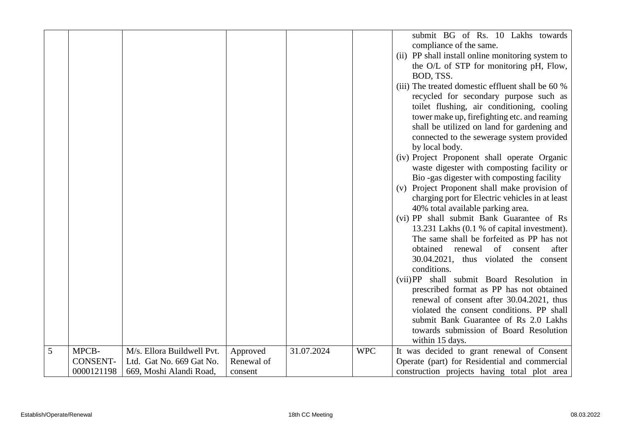|   |                 |                            |            |            |            | submit BG of Rs. 10 Lakhs towards                 |
|---|-----------------|----------------------------|------------|------------|------------|---------------------------------------------------|
|   |                 |                            |            |            |            | compliance of the same.                           |
|   |                 |                            |            |            |            | (ii) PP shall install online monitoring system to |
|   |                 |                            |            |            |            | the O/L of STP for monitoring pH, Flow,           |
|   |                 |                            |            |            |            | BOD, TSS.                                         |
|   |                 |                            |            |            |            | (iii) The treated domestic effluent shall be 60 % |
|   |                 |                            |            |            |            |                                                   |
|   |                 |                            |            |            |            | recycled for secondary purpose such as            |
|   |                 |                            |            |            |            | toilet flushing, air conditioning, cooling        |
|   |                 |                            |            |            |            | tower make up, firefighting etc. and reaming      |
|   |                 |                            |            |            |            | shall be utilized on land for gardening and       |
|   |                 |                            |            |            |            | connected to the sewerage system provided         |
|   |                 |                            |            |            |            | by local body.                                    |
|   |                 |                            |            |            |            | (iv) Project Proponent shall operate Organic      |
|   |                 |                            |            |            |            | waste digester with composting facility or        |
|   |                 |                            |            |            |            | Bio -gas digester with composting facility        |
|   |                 |                            |            |            |            | (v) Project Proponent shall make provision of     |
|   |                 |                            |            |            |            | charging port for Electric vehicles in at least   |
|   |                 |                            |            |            |            | 40% total available parking area.                 |
|   |                 |                            |            |            |            | (vi) PP shall submit Bank Guarantee of Rs         |
|   |                 |                            |            |            |            | 13.231 Lakhs (0.1 % of capital investment).       |
|   |                 |                            |            |            |            | The same shall be forfeited as PP has not         |
|   |                 |                            |            |            |            | obtained<br>of<br>after<br>renewal<br>consent     |
|   |                 |                            |            |            |            | 30.04.2021, thus violated the consent             |
|   |                 |                            |            |            |            | conditions.                                       |
|   |                 |                            |            |            |            | (vii) PP shall submit Board Resolution in         |
|   |                 |                            |            |            |            | prescribed format as PP has not obtained          |
|   |                 |                            |            |            |            | renewal of consent after 30.04.2021, thus         |
|   |                 |                            |            |            |            | violated the consent conditions. PP shall         |
|   |                 |                            |            |            |            | submit Bank Guarantee of Rs 2.0 Lakhs             |
|   |                 |                            |            |            |            | towards submission of Board Resolution            |
|   |                 |                            |            |            |            | within 15 days.                                   |
| 5 | MPCB-           | M/s. Ellora Buildwell Pvt. | Approved   | 31.07.2024 | <b>WPC</b> | It was decided to grant renewal of Consent        |
|   | <b>CONSENT-</b> | Ltd. Gat No. 669 Gat No.   | Renewal of |            |            | Operate (part) for Residential and commercial     |
|   | 0000121198      | 669, Moshi Alandi Road,    | consent    |            |            | construction projects having total plot area      |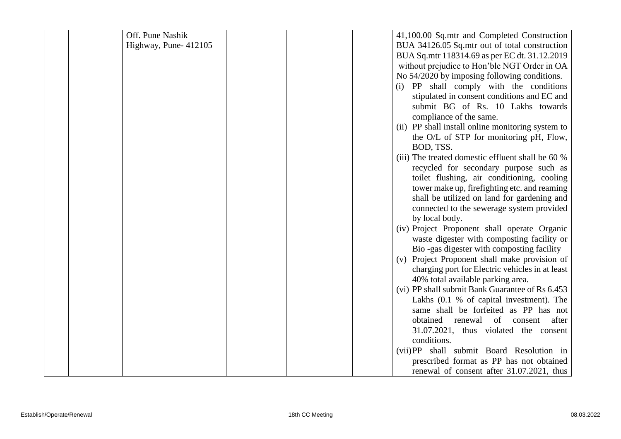| Off. Pune Nashik     | 41,100.00 Sq.mtr and Completed Construction                                                |
|----------------------|--------------------------------------------------------------------------------------------|
| Highway, Pune-412105 | BUA 34126.05 Sq.mtr out of total construction                                              |
|                      | BUA Sq.mtr 118314.69 as per EC dt. 31.12.2019                                              |
|                      | without prejudice to Hon'ble NGT Order in OA                                               |
|                      | No 54/2020 by imposing following conditions.                                               |
|                      | (i) PP shall comply with the conditions                                                    |
|                      | stipulated in consent conditions and EC and                                                |
|                      | submit BG of Rs. 10 Lakhs towards                                                          |
|                      | compliance of the same.                                                                    |
|                      | (ii) PP shall install online monitoring system to                                          |
|                      | the O/L of STP for monitoring pH, Flow,                                                    |
|                      | BOD, TSS.                                                                                  |
|                      | (iii) The treated domestic effluent shall be 60 %                                          |
|                      | recycled for secondary purpose such as                                                     |
|                      | toilet flushing, air conditioning, cooling                                                 |
|                      | tower make up, firefighting etc. and reaming                                               |
|                      | shall be utilized on land for gardening and                                                |
|                      | connected to the sewerage system provided                                                  |
|                      | by local body.                                                                             |
|                      | (iv) Project Proponent shall operate Organic<br>waste digester with composting facility or |
|                      | Bio -gas digester with composting facility                                                 |
|                      | (v) Project Proponent shall make provision of                                              |
|                      | charging port for Electric vehicles in at least                                            |
|                      | 40% total available parking area.                                                          |
|                      | (vi) PP shall submit Bank Guarantee of Rs 6.453                                            |
|                      | Lakhs (0.1 % of capital investment). The                                                   |
|                      | same shall be forfeited as PP has not                                                      |
|                      | obtained renewal of consent<br>after                                                       |
|                      | 31.07.2021, thus violated the consent                                                      |
|                      | conditions.                                                                                |
|                      | (vii) PP shall submit Board Resolution in                                                  |
|                      | prescribed format as PP has not obtained                                                   |
|                      | renewal of consent after 31.07.2021, thus                                                  |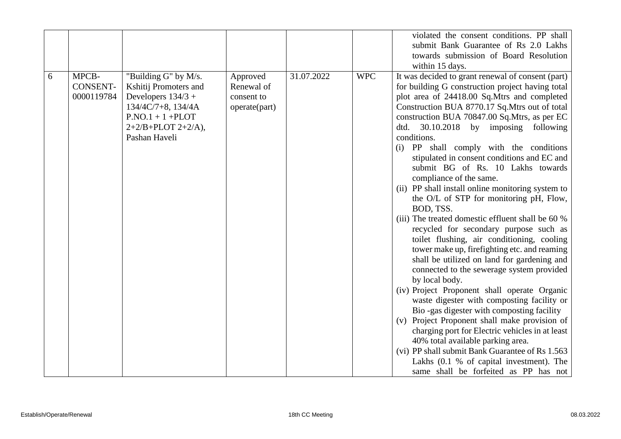|   |                                        |                                                                                                                                                                  |                                                       |            |            | violated the consent conditions. PP shall<br>submit Bank Guarantee of Rs 2.0 Lakhs                                                                                                                                                                                                                                                                                                                                                                                                                                                                                                                                                                                                                                                                                                                                                                                                                                                                                                                                                                                                                                                                                                                                                                        |
|---|----------------------------------------|------------------------------------------------------------------------------------------------------------------------------------------------------------------|-------------------------------------------------------|------------|------------|-----------------------------------------------------------------------------------------------------------------------------------------------------------------------------------------------------------------------------------------------------------------------------------------------------------------------------------------------------------------------------------------------------------------------------------------------------------------------------------------------------------------------------------------------------------------------------------------------------------------------------------------------------------------------------------------------------------------------------------------------------------------------------------------------------------------------------------------------------------------------------------------------------------------------------------------------------------------------------------------------------------------------------------------------------------------------------------------------------------------------------------------------------------------------------------------------------------------------------------------------------------|
|   |                                        |                                                                                                                                                                  |                                                       |            |            | towards submission of Board Resolution                                                                                                                                                                                                                                                                                                                                                                                                                                                                                                                                                                                                                                                                                                                                                                                                                                                                                                                                                                                                                                                                                                                                                                                                                    |
| 6 | MPCB-<br><b>CONSENT-</b><br>0000119784 | "Building G" by M/s.<br>Kshitij Promoters and<br>Developers $134/3 +$<br>$134/4C/7+8$ , $134/4A$<br>$P.NO.1 + 1 + PLOT$<br>$2+2/B+PLOT 2+2/A$ ,<br>Pashan Haveli | Approved<br>Renewal of<br>consent to<br>operate(part) | 31.07.2022 | <b>WPC</b> | within 15 days.<br>It was decided to grant renewal of consent (part)<br>for building G construction project having total<br>plot area of 24418.00 Sq.Mtrs and completed<br>Construction BUA 8770.17 Sq.Mtrs out of total<br>construction BUA 70847.00 Sq.Mtrs, as per EC<br>dtd. 30.10.2018 by imposing following<br>conditions.<br>(i) PP shall comply with the conditions<br>stipulated in consent conditions and EC and<br>submit BG of Rs. 10 Lakhs towards<br>compliance of the same.<br>(ii) PP shall install online monitoring system to<br>the O/L of STP for monitoring pH, Flow,<br>BOD, TSS.<br>(iii) The treated domestic effluent shall be 60 %<br>recycled for secondary purpose such as<br>toilet flushing, air conditioning, cooling<br>tower make up, firefighting etc. and reaming<br>shall be utilized on land for gardening and<br>connected to the sewerage system provided<br>by local body.<br>(iv) Project Proponent shall operate Organic<br>waste digester with composting facility or<br>Bio-gas digester with composting facility<br>(v) Project Proponent shall make provision of<br>charging port for Electric vehicles in at least<br>40% total available parking area.<br>(vi) PP shall submit Bank Guarantee of Rs 1.563 |
|   |                                        |                                                                                                                                                                  |                                                       |            |            | Lakhs (0.1 % of capital investment). The<br>same shall be forfeited as PP has not                                                                                                                                                                                                                                                                                                                                                                                                                                                                                                                                                                                                                                                                                                                                                                                                                                                                                                                                                                                                                                                                                                                                                                         |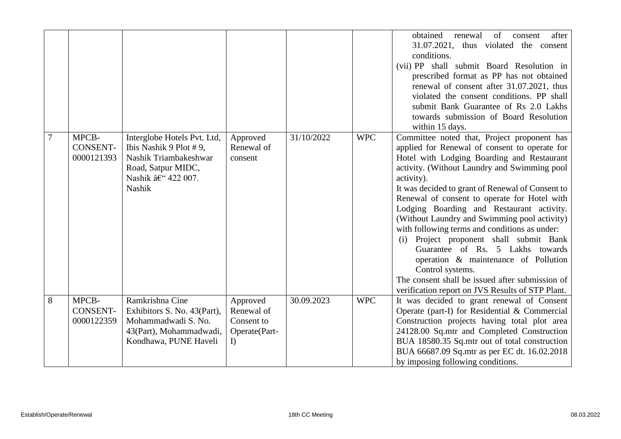|                |                                        |                                                                                                                                     |                                                             |            |            | obtained<br>of<br>after<br>renewal<br>consent<br>31.07.2021, thus violated the consent<br>conditions.<br>(vii) PP shall submit Board Resolution in<br>prescribed format as PP has not obtained<br>renewal of consent after 31.07.2021, thus<br>violated the consent conditions. PP shall<br>submit Bank Guarantee of Rs 2.0 Lakhs<br>towards submission of Board Resolution<br>within 15 days.                                                                                                                                                                                                                                                                                                               |
|----------------|----------------------------------------|-------------------------------------------------------------------------------------------------------------------------------------|-------------------------------------------------------------|------------|------------|--------------------------------------------------------------------------------------------------------------------------------------------------------------------------------------------------------------------------------------------------------------------------------------------------------------------------------------------------------------------------------------------------------------------------------------------------------------------------------------------------------------------------------------------------------------------------------------------------------------------------------------------------------------------------------------------------------------|
| $\overline{7}$ | MPCB-<br><b>CONSENT-</b><br>0000121393 | Interglobe Hotels Pvt. Ltd,<br>Ibis Nashik 9 Plot #9,<br>Nashik Triambakeshwar<br>Road, Satpur MIDC,<br>Nashik – 422 007.<br>Nashik | Approved<br>Renewal of<br>consent                           | 31/10/2022 | <b>WPC</b> | Committee noted that, Project proponent has<br>applied for Renewal of consent to operate for<br>Hotel with Lodging Boarding and Restaurant<br>activity. (Without Laundry and Swimming pool<br>activity).<br>It was decided to grant of Renewal of Consent to<br>Renewal of consent to operate for Hotel with<br>Lodging Boarding and Restaurant activity.<br>(Without Laundry and Swimming pool activity)<br>with following terms and conditions as under:<br>(i) Project proponent shall submit Bank<br>Guarantee of Rs. 5 Lakhs towards<br>operation & maintenance of Pollution<br>Control systems.<br>The consent shall be issued after submission of<br>verification report on JVS Results of STP Plant. |
| 8              | MPCB-<br>CONSENT-<br>0000122359        | Ramkrishna Cine<br>Exhibitors S. No. 43(Part),<br>Mohammadwadi S. No.<br>43(Part), Mohammadwadi,<br>Kondhawa, PUNE Haveli           | Approved<br>Renewal of<br>Consent to<br>Operate(Part-<br>I) | 30.09.2023 | <b>WPC</b> | It was decided to grant renewal of Consent<br>Operate (part-I) for Residential & Commercial<br>Construction projects having total plot area<br>24128.00 Sq.mtr and Completed Construction<br>BUA 18580.35 Sq.mtr out of total construction<br>BUA 66687.09 Sq.mtr as per EC dt. 16.02.2018<br>by imposing following conditions.                                                                                                                                                                                                                                                                                                                                                                              |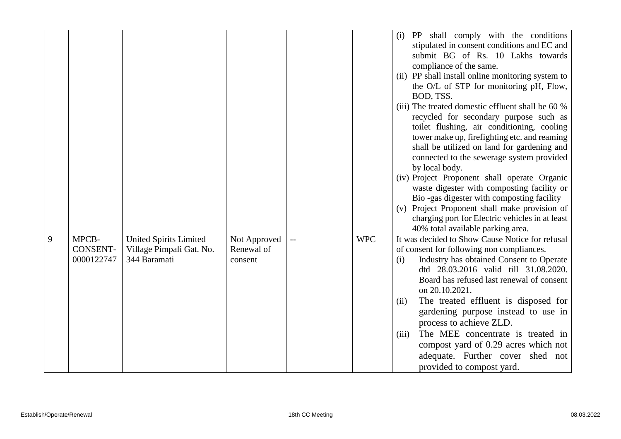|   |                                 |                                                                           |                                       |            | (i) PP shall comply with the conditions<br>stipulated in consent conditions and EC and<br>submit BG of Rs. 10 Lakhs towards<br>compliance of the same.<br>(ii) PP shall install online monitoring system to<br>the O/L of STP for monitoring pH, Flow,<br>BOD, TSS.<br>(iii) The treated domestic effluent shall be 60 %<br>recycled for secondary purpose such as<br>toilet flushing, air conditioning, cooling<br>tower make up, firefighting etc. and reaming<br>shall be utilized on land for gardening and<br>connected to the sewerage system provided<br>by local body.<br>(iv) Project Proponent shall operate Organic<br>waste digester with composting facility or<br>Bio -gas digester with composting facility<br>(v) Project Proponent shall make provision of<br>charging port for Electric vehicles in at least |
|---|---------------------------------|---------------------------------------------------------------------------|---------------------------------------|------------|--------------------------------------------------------------------------------------------------------------------------------------------------------------------------------------------------------------------------------------------------------------------------------------------------------------------------------------------------------------------------------------------------------------------------------------------------------------------------------------------------------------------------------------------------------------------------------------------------------------------------------------------------------------------------------------------------------------------------------------------------------------------------------------------------------------------------------|
| 9 | MPCB-<br>CONSENT-<br>0000122747 | <b>United Spirits Limited</b><br>Village Pimpali Gat. No.<br>344 Baramati | Not Approved<br>Renewal of<br>consent | <b>WPC</b> | 40% total available parking area.<br>It was decided to Show Cause Notice for refusal<br>of consent for following non compliances.<br>Industry has obtained Consent to Operate<br>(i)<br>dtd 28.03.2016 valid till 31.08.2020.<br>Board has refused last renewal of consent<br>on 20.10.2021.<br>The treated effluent is disposed for<br>(ii)<br>gardening purpose instead to use in<br>process to achieve ZLD.<br>The MEE concentrate is treated in<br>(iii)<br>compost yard of 0.29 acres which not<br>adequate. Further cover shed not<br>provided to compost yard.                                                                                                                                                                                                                                                          |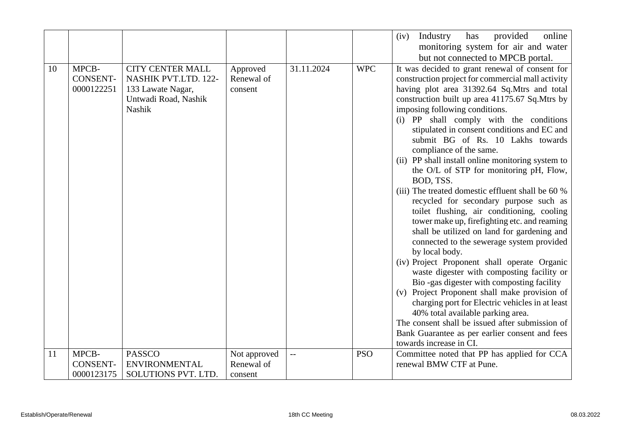|    |                                        |                                                                                                        |                                       |                          |            | online<br>Industry<br>has<br>provided<br>(iv)<br>monitoring system for air and water                                                                                                                                                                                                                                                                                                                                                                                                                                                                                                                                                                                                                                                                                                                                                                                                                                                                                                                                                                                                                                                                                                                                                                                              |
|----|----------------------------------------|--------------------------------------------------------------------------------------------------------|---------------------------------------|--------------------------|------------|-----------------------------------------------------------------------------------------------------------------------------------------------------------------------------------------------------------------------------------------------------------------------------------------------------------------------------------------------------------------------------------------------------------------------------------------------------------------------------------------------------------------------------------------------------------------------------------------------------------------------------------------------------------------------------------------------------------------------------------------------------------------------------------------------------------------------------------------------------------------------------------------------------------------------------------------------------------------------------------------------------------------------------------------------------------------------------------------------------------------------------------------------------------------------------------------------------------------------------------------------------------------------------------|
| 10 | MPCB-<br><b>CONSENT-</b><br>0000122251 | <b>CITY CENTER MALL</b><br>NASHIK PVT.LTD. 122-<br>133 Lawate Nagar,<br>Untwadi Road, Nashik<br>Nashik | Approved<br>Renewal of<br>consent     | 31.11.2024               | <b>WPC</b> | but not connected to MPCB portal.<br>It was decided to grant renewal of consent for<br>construction project for commercial mall activity<br>having plot area 31392.64 Sq.Mtrs and total<br>construction built up area 41175.67 Sq.Mtrs by<br>imposing following conditions.<br>(i) PP shall comply with the conditions<br>stipulated in consent conditions and EC and<br>submit BG of Rs. 10 Lakhs towards<br>compliance of the same.<br>(ii) PP shall install online monitoring system to<br>the O/L of STP for monitoring pH, Flow,<br>BOD, TSS.<br>(iii) The treated domestic effluent shall be 60 %<br>recycled for secondary purpose such as<br>toilet flushing, air conditioning, cooling<br>tower make up, firefighting etc. and reaming<br>shall be utilized on land for gardening and<br>connected to the sewerage system provided<br>by local body.<br>(iv) Project Proponent shall operate Organic<br>waste digester with composting facility or<br>Bio-gas digester with composting facility<br>(v) Project Proponent shall make provision of<br>charging port for Electric vehicles in at least<br>40% total available parking area.<br>The consent shall be issued after submission of<br>Bank Guarantee as per earlier consent and fees<br>towards increase in CI. |
| 11 | MPCB-<br><b>CONSENT-</b><br>0000123175 | <b>PASSCO</b><br><b>ENVIRONMENTAL</b><br>SOLUTIONS PVT. LTD.                                           | Not approved<br>Renewal of<br>consent | $\overline{\phantom{a}}$ | <b>PSO</b> | Committee noted that PP has applied for CCA<br>renewal BMW CTF at Pune.                                                                                                                                                                                                                                                                                                                                                                                                                                                                                                                                                                                                                                                                                                                                                                                                                                                                                                                                                                                                                                                                                                                                                                                                           |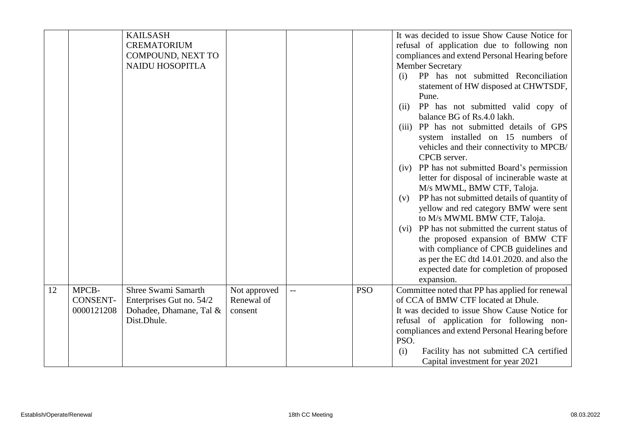|    |                                        | <b>KAILSASH</b><br><b>CREMATORIUM</b><br>COMPOUND, NEXT TO<br><b>NAIDU HOSOPITLA</b>      |                                       |              |            | It was decided to issue Show Cause Notice for<br>refusal of application due to following non<br>compliances and extend Personal Hearing before<br><b>Member Secretary</b><br>PP has not submitted Reconciliation<br>(i)                                                                                                              |
|----|----------------------------------------|-------------------------------------------------------------------------------------------|---------------------------------------|--------------|------------|--------------------------------------------------------------------------------------------------------------------------------------------------------------------------------------------------------------------------------------------------------------------------------------------------------------------------------------|
|    |                                        |                                                                                           |                                       |              |            | statement of HW disposed at CHWTSDF,<br>Pune.<br>PP has not submitted valid copy of<br>(ii)<br>balance BG of Rs.4.0 lakh.                                                                                                                                                                                                            |
|    |                                        |                                                                                           |                                       |              |            | (iii) PP has not submitted details of GPS<br>system installed on 15 numbers of<br>vehicles and their connectivity to MPCB/<br>CPCB server.                                                                                                                                                                                           |
|    |                                        |                                                                                           |                                       |              |            | PP has not submitted Board's permission<br>(iv)<br>letter for disposal of incinerable waste at<br>M/s MWML, BMW CTF, Taloja.                                                                                                                                                                                                         |
|    |                                        |                                                                                           |                                       |              |            | PP has not submitted details of quantity of<br>(v)<br>yellow and red category BMW were sent<br>to M/s MWML BMW CTF, Taloja.                                                                                                                                                                                                          |
|    |                                        |                                                                                           |                                       |              |            | PP has not submitted the current status of<br>(vi)<br>the proposed expansion of BMW CTF<br>with compliance of CPCB guidelines and<br>as per the EC dtd 14.01.2020. and also the<br>expected date for completion of proposed<br>expansion.                                                                                            |
| 12 | MPCB-<br><b>CONSENT-</b><br>0000121208 | Shree Swami Samarth<br>Enterprises Gut no. 54/2<br>Dohadee, Dhamane, Tal &<br>Dist.Dhule. | Not approved<br>Renewal of<br>consent | $\mathbf{u}$ | <b>PSO</b> | Committee noted that PP has applied for renewal<br>of CCA of BMW CTF located at Dhule.<br>It was decided to issue Show Cause Notice for<br>refusal of application for following non-<br>compliances and extend Personal Hearing before<br>PSO.<br>Facility has not submitted CA certified<br>(i)<br>Capital investment for year 2021 |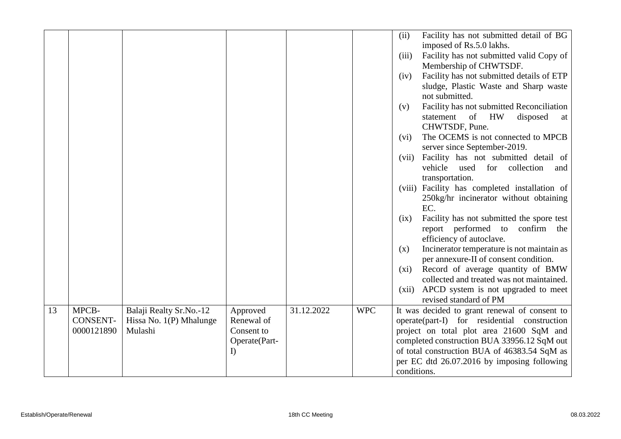|    |                 |                         |               |            |            | (ii)        | Facility has not submitted detail of BG                                             |
|----|-----------------|-------------------------|---------------|------------|------------|-------------|-------------------------------------------------------------------------------------|
|    |                 |                         |               |            |            |             | imposed of Rs.5.0 lakhs.                                                            |
|    |                 |                         |               |            |            | (iii)       | Facility has not submitted valid Copy of                                            |
|    |                 |                         |               |            |            |             | Membership of CHWTSDF.                                                              |
|    |                 |                         |               |            |            | (iv)        | Facility has not submitted details of ETP                                           |
|    |                 |                         |               |            |            |             | sludge, Plastic Waste and Sharp waste                                               |
|    |                 |                         |               |            |            |             | not submitted.                                                                      |
|    |                 |                         |               |            |            | (v)         | Facility has not submitted Reconciliation                                           |
|    |                 |                         |               |            |            |             | of HW<br>statement<br>disposed<br>at                                                |
|    |                 |                         |               |            |            |             | CHWTSDF, Pune.                                                                      |
|    |                 |                         |               |            |            | (vi)        | The OCEMS is not connected to MPCB                                                  |
|    |                 |                         |               |            |            |             | server since September-2019.                                                        |
|    |                 |                         |               |            |            | (vii)       | Facility has not submitted detail of                                                |
|    |                 |                         |               |            |            | vehicle     | used<br>for<br>collection<br>and                                                    |
|    |                 |                         |               |            |            |             | transportation.                                                                     |
|    |                 |                         |               |            |            |             | (viii) Facility has completed installation of                                       |
|    |                 |                         |               |            |            |             | 250kg/hr incinerator without obtaining                                              |
|    |                 |                         |               |            |            | EC.         |                                                                                     |
|    |                 |                         |               |            |            | (ix)        | Facility has not submitted the spore test                                           |
|    |                 |                         |               |            |            |             | report performed to<br>confirm the                                                  |
|    |                 |                         |               |            |            |             | efficiency of autoclave.                                                            |
|    |                 |                         |               |            |            | (x)         | Incinerator temperature is not maintain as<br>per annexure-II of consent condition. |
|    |                 |                         |               |            |            | (xi)        | Record of average quantity of BMW                                                   |
|    |                 |                         |               |            |            |             | collected and treated was not maintained.                                           |
|    |                 |                         |               |            |            | (xii)       | APCD system is not upgraded to meet                                                 |
|    |                 |                         |               |            |            |             | revised standard of PM                                                              |
| 13 | MPCB-           | Balaji Realty Sr.No.-12 | Approved      | 31.12.2022 | <b>WPC</b> |             | It was decided to grant renewal of consent to                                       |
|    | <b>CONSENT-</b> | Hissa No. 1(P) Mhalunge | Renewal of    |            |            |             | operate(part-I) for residential construction                                        |
|    | 0000121890      | Mulashi                 | Consent to    |            |            |             | project on total plot area 21600 SqM and                                            |
|    |                 |                         | Operate(Part- |            |            |             | completed construction BUA 33956.12 SqM out                                         |
|    |                 |                         | I)            |            |            |             | of total construction BUA of 46383.54 SqM as                                        |
|    |                 |                         |               |            |            |             | per EC dtd 26.07.2016 by imposing following                                         |
|    |                 |                         |               |            |            | conditions. |                                                                                     |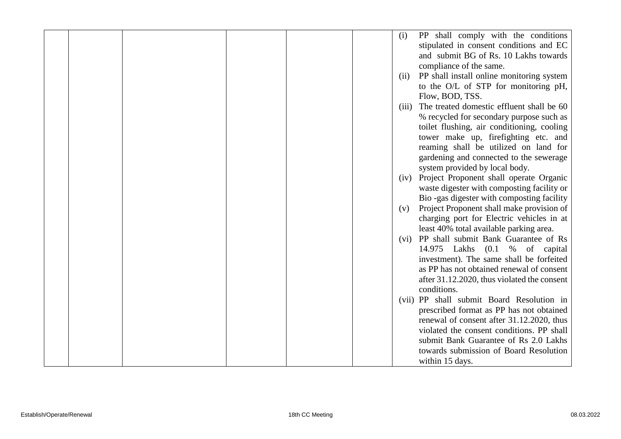|  |  |  | (i)   | PP shall comply with the conditions         |
|--|--|--|-------|---------------------------------------------|
|  |  |  |       | stipulated in consent conditions and EC     |
|  |  |  |       | and submit BG of Rs. 10 Lakhs towards       |
|  |  |  |       | compliance of the same.                     |
|  |  |  | (ii)  | PP shall install online monitoring system   |
|  |  |  |       | to the O/L of STP for monitoring pH,        |
|  |  |  |       | Flow, BOD, TSS.                             |
|  |  |  | (iii) | The treated domestic effluent shall be 60   |
|  |  |  |       | % recycled for secondary purpose such as    |
|  |  |  |       | toilet flushing, air conditioning, cooling  |
|  |  |  |       |                                             |
|  |  |  |       | tower make up, fire fighting etc. and       |
|  |  |  |       | reaming shall be utilized on land for       |
|  |  |  |       | gardening and connected to the sewerage     |
|  |  |  |       | system provided by local body.              |
|  |  |  | (iv)  | Project Proponent shall operate Organic     |
|  |  |  |       | waste digester with composting facility or  |
|  |  |  |       | Bio-gas digester with composting facility   |
|  |  |  | (v)   | Project Proponent shall make provision of   |
|  |  |  |       | charging port for Electric vehicles in at   |
|  |  |  |       | least 40% total available parking area.     |
|  |  |  |       | (vi) PP shall submit Bank Guarantee of Rs   |
|  |  |  |       | 14.975 Lakhs (0.1 % of capital              |
|  |  |  |       | investment). The same shall be forfeited    |
|  |  |  |       | as PP has not obtained renewal of consent   |
|  |  |  |       | after 31.12.2020, thus violated the consent |
|  |  |  |       | conditions.                                 |
|  |  |  |       | (vii) PP shall submit Board Resolution in   |
|  |  |  |       | prescribed format as PP has not obtained    |
|  |  |  |       | renewal of consent after 31.12.2020, thus   |
|  |  |  |       | violated the consent conditions. PP shall   |
|  |  |  |       | submit Bank Guarantee of Rs 2.0 Lakhs       |
|  |  |  |       | towards submission of Board Resolution      |
|  |  |  |       | within 15 days.                             |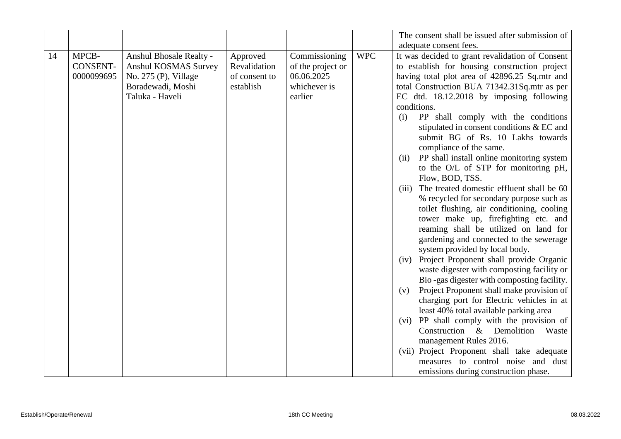|    |                 |                         |               |                   |            | The consent shall be issued after submission of    |
|----|-----------------|-------------------------|---------------|-------------------|------------|----------------------------------------------------|
|    |                 |                         |               |                   |            | adequate consent fees.                             |
| 14 | MPCB-           | Anshul Bhosale Realty - | Approved      | Commissioning     | <b>WPC</b> | It was decided to grant revalidation of Consent    |
|    | <b>CONSENT-</b> | Anshul KOSMAS Survey    | Revalidation  | of the project or |            | to establish for housing construction project      |
|    | 0000099695      | No. $275$ (P), Village  | of consent to | 06.06.2025        |            | having total plot area of 42896.25 Sq.mtr and      |
|    |                 | Boradewadi, Moshi       | establish     | whichever is      |            | total Construction BUA 71342.31Sq.mtr as per       |
|    |                 | Taluka - Haveli         |               | earlier           |            | EC dtd. 18.12.2018 by imposing following           |
|    |                 |                         |               |                   |            | conditions.                                        |
|    |                 |                         |               |                   |            | PP shall comply with the conditions<br>(i)         |
|    |                 |                         |               |                   |            | stipulated in consent conditions & EC and          |
|    |                 |                         |               |                   |            | submit BG of Rs. 10 Lakhs towards                  |
|    |                 |                         |               |                   |            | compliance of the same.                            |
|    |                 |                         |               |                   |            | PP shall install online monitoring system<br>(ii)  |
|    |                 |                         |               |                   |            | to the O/L of STP for monitoring pH,               |
|    |                 |                         |               |                   |            | Flow, BOD, TSS.                                    |
|    |                 |                         |               |                   |            | The treated domestic effluent shall be 60<br>(iii) |
|    |                 |                         |               |                   |            | % recycled for secondary purpose such as           |
|    |                 |                         |               |                   |            | toilet flushing, air conditioning, cooling         |
|    |                 |                         |               |                   |            | tower make up, firefighting etc. and               |
|    |                 |                         |               |                   |            | reaming shall be utilized on land for              |
|    |                 |                         |               |                   |            | gardening and connected to the sewerage            |
|    |                 |                         |               |                   |            | system provided by local body.                     |
|    |                 |                         |               |                   |            | (iv) Project Proponent shall provide Organic       |
|    |                 |                         |               |                   |            | waste digester with composting facility or         |
|    |                 |                         |               |                   |            | Bio-gas digester with composting facility.         |
|    |                 |                         |               |                   |            | Project Proponent shall make provision of<br>(v)   |
|    |                 |                         |               |                   |            | charging port for Electric vehicles in at          |
|    |                 |                         |               |                   |            | least 40% total available parking area             |
|    |                 |                         |               |                   |            | (vi) PP shall comply with the provision of         |
|    |                 |                         |               |                   |            | Construction & Demolition<br>Waste                 |
|    |                 |                         |               |                   |            | management Rules 2016.                             |
|    |                 |                         |               |                   |            | (vii) Project Proponent shall take adequate        |
|    |                 |                         |               |                   |            | measures to control noise and dust                 |
|    |                 |                         |               |                   |            | emissions during construction phase.               |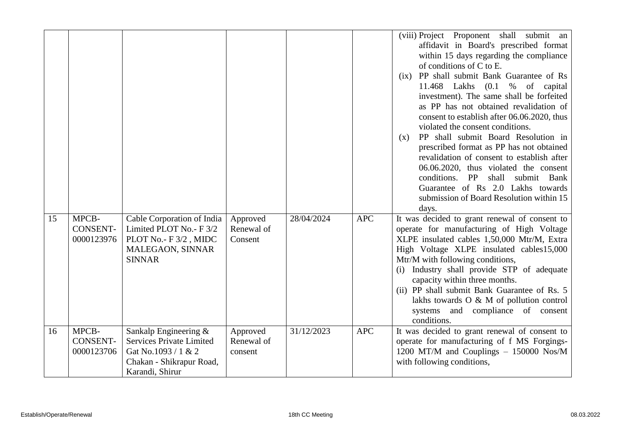|    |                                        |                                                                                                                                |                                   |            |            | shall submit an<br>(viii) Project Proponent<br>affidavit in Board's prescribed format<br>within 15 days regarding the compliance<br>of conditions of C to E.<br>PP shall submit Bank Guarantee of Rs<br>(ix)<br>11.468 Lakhs<br>(0.1)<br>$\%$<br>of<br>capital<br>investment). The same shall be forfeited<br>as PP has not obtained revalidation of<br>consent to establish after 06.06.2020, thus<br>violated the consent conditions.<br>PP shall submit Board Resolution in<br>(x)<br>prescribed format as PP has not obtained<br>revalidation of consent to establish after<br>06.06.2020, thus violated the consent<br>PP<br>shall<br>submit Bank<br>conditions.<br>Guarantee of Rs 2.0 Lakhs towards<br>submission of Board Resolution within 15<br>days. |
|----|----------------------------------------|--------------------------------------------------------------------------------------------------------------------------------|-----------------------------------|------------|------------|-----------------------------------------------------------------------------------------------------------------------------------------------------------------------------------------------------------------------------------------------------------------------------------------------------------------------------------------------------------------------------------------------------------------------------------------------------------------------------------------------------------------------------------------------------------------------------------------------------------------------------------------------------------------------------------------------------------------------------------------------------------------|
| 15 | MPCB-<br>CONSENT-<br>0000123976        | Cable Corporation of India<br>Limited PLOT No.- F 3/2<br>PLOT No.- F 3/2, MIDC<br>MALEGAON, SINNAR<br><b>SINNAR</b>            | Approved<br>Renewal of<br>Consent | 28/04/2024 | <b>APC</b> | It was decided to grant renewal of consent to<br>operate for manufacturing of High Voltage<br>XLPE insulated cables 1,50,000 Mtr/M, Extra<br>High Voltage XLPE insulated cables15,000<br>Mtr/M with following conditions,<br>(i) Industry shall provide STP of adequate<br>capacity within three months.<br>(ii) PP shall submit Bank Guarantee of Rs. 5<br>lakhs towards $O & M$ of pollution control<br>systems and compliance of consent<br>conditions.                                                                                                                                                                                                                                                                                                      |
| 16 | MPCB-<br><b>CONSENT-</b><br>0000123706 | Sankalp Engineering &<br><b>Services Private Limited</b><br>Gat No.1093 / 1 & 2<br>Chakan - Shikrapur Road,<br>Karandi, Shirur | Approved<br>Renewal of<br>consent | 31/12/2023 | <b>APC</b> | It was decided to grant renewal of consent to<br>operate for manufacturing of f MS Forgings-<br>1200 MT/M and Couplings - 150000 Nos/M<br>with following conditions,                                                                                                                                                                                                                                                                                                                                                                                                                                                                                                                                                                                            |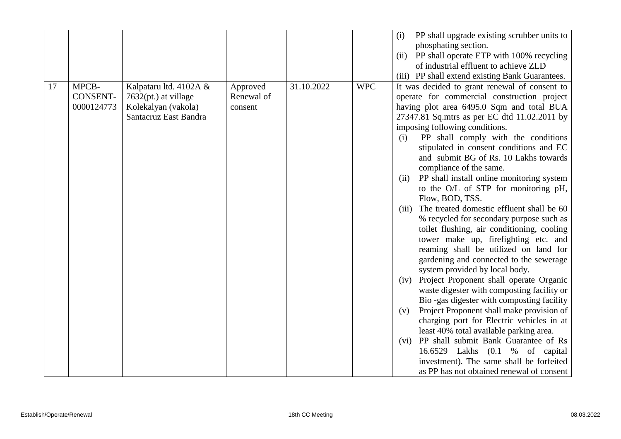|    |                                 |                                                                                                  |                                   |            |            | PP shall upgrade existing scrubber units to<br>(i)<br>phosphating section.<br>PP shall operate ETP with 100% recycling<br>(ii)<br>of industrial effluent to achieve ZLD<br>(iii) PP shall extend existing Bank Guarantees.                                                                                                                                                                                                                                                                                                                                                                                                                                                                                                                                                                                                                                                                                                                                                                                                                                                                                                                                                                                                                                                                   |
|----|---------------------------------|--------------------------------------------------------------------------------------------------|-----------------------------------|------------|------------|----------------------------------------------------------------------------------------------------------------------------------------------------------------------------------------------------------------------------------------------------------------------------------------------------------------------------------------------------------------------------------------------------------------------------------------------------------------------------------------------------------------------------------------------------------------------------------------------------------------------------------------------------------------------------------------------------------------------------------------------------------------------------------------------------------------------------------------------------------------------------------------------------------------------------------------------------------------------------------------------------------------------------------------------------------------------------------------------------------------------------------------------------------------------------------------------------------------------------------------------------------------------------------------------|
| 17 | MPCB-<br>CONSENT-<br>0000124773 | Kalpataru ltd. 4102A &<br>$7632(pt.)$ at village<br>Kolekalyan (vakola)<br>Santacruz East Bandra | Approved<br>Renewal of<br>consent | 31.10.2022 | <b>WPC</b> | It was decided to grant renewal of consent to<br>operate for commercial construction project<br>having plot area 6495.0 Sqm and total BUA<br>27347.81 Sq.mtrs as per EC dtd 11.02.2011 by<br>imposing following conditions.<br>PP shall comply with the conditions<br>(i)<br>stipulated in consent conditions and EC<br>and submit BG of Rs. 10 Lakhs towards<br>compliance of the same.<br>PP shall install online monitoring system<br>(ii)<br>to the O/L of STP for monitoring pH,<br>Flow, BOD, TSS.<br>The treated domestic effluent shall be 60<br>(iii)<br>% recycled for secondary purpose such as<br>toilet flushing, air conditioning, cooling<br>tower make up, firefighting etc. and<br>reaming shall be utilized on land for<br>gardening and connected to the sewerage<br>system provided by local body.<br>Project Proponent shall operate Organic<br>(iv)<br>waste digester with composting facility or<br>Bio-gas digester with composting facility<br>Project Proponent shall make provision of<br>(v)<br>charging port for Electric vehicles in at<br>least 40% total available parking area.<br>PP shall submit Bank Guarantee of Rs<br>(vi)<br>16.6529 Lakhs (0.1 % of capital<br>investment). The same shall be forfeited<br>as PP has not obtained renewal of consent |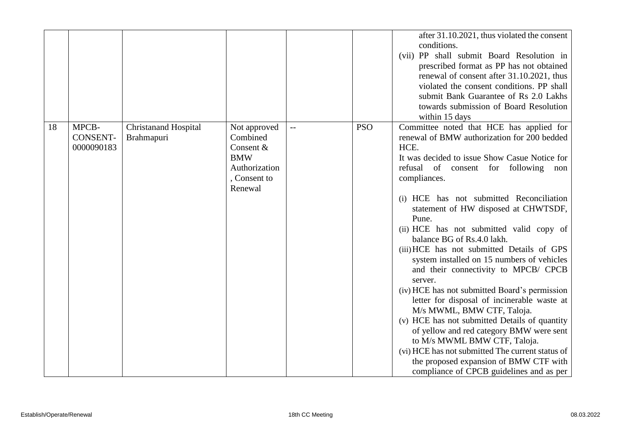|    |                                        |                                           |                                                                                               |     |            | after 31.10.2021, thus violated the consent<br>conditions.<br>(vii) PP shall submit Board Resolution in<br>prescribed format as PP has not obtained<br>renewal of consent after 31.10.2021, thus<br>violated the consent conditions. PP shall<br>submit Bank Guarantee of Rs 2.0 Lakhs<br>towards submission of Board Resolution<br>within 15 days                                                                                                                                                                                                                                                                                                                                                                                                                                                                                                                                                                                  |
|----|----------------------------------------|-------------------------------------------|-----------------------------------------------------------------------------------------------|-----|------------|-------------------------------------------------------------------------------------------------------------------------------------------------------------------------------------------------------------------------------------------------------------------------------------------------------------------------------------------------------------------------------------------------------------------------------------------------------------------------------------------------------------------------------------------------------------------------------------------------------------------------------------------------------------------------------------------------------------------------------------------------------------------------------------------------------------------------------------------------------------------------------------------------------------------------------------|
| 18 | MPCB-<br><b>CONSENT-</b><br>0000090183 | <b>Christanand Hospital</b><br>Brahmapuri | Not approved<br>Combined<br>Consent &<br><b>BMW</b><br>Authorization<br>Consent to<br>Renewal | $-$ | <b>PSO</b> | Committee noted that HCE has applied for<br>renewal of BMW authorization for 200 bedded<br>HCE.<br>It was decided to issue Show Casue Notice for<br>refusal of consent for following non<br>compliances.<br>(i) HCE has not submitted Reconciliation<br>statement of HW disposed at CHWTSDF,<br>Pune.<br>(ii) HCE has not submitted valid copy of<br>balance BG of Rs.4.0 lakh.<br>(iii) HCE has not submitted Details of GPS<br>system installed on 15 numbers of vehicles<br>and their connectivity to MPCB/ CPCB<br>server.<br>(iv) HCE has not submitted Board's permission<br>letter for disposal of incinerable waste at<br>M/s MWML, BMW CTF, Taloja.<br>(v) HCE has not submitted Details of quantity<br>of yellow and red category BMW were sent<br>to M/s MWML BMW CTF, Taloja.<br>(vi) HCE has not submitted The current status of<br>the proposed expansion of BMW CTF with<br>compliance of CPCB guidelines and as per |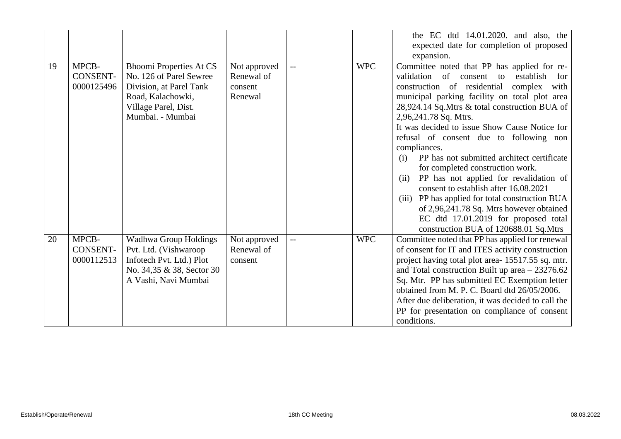|    |                                        |                                                                                                                                                       |                                                  |     |            | the EC dtd 14.01.2020. and also, the<br>expected date for completion of proposed<br>expansion.                                                                                                                                                                                                                                                                                                                                                                                                                                                                                                                                                                                                                                                                               |
|----|----------------------------------------|-------------------------------------------------------------------------------------------------------------------------------------------------------|--------------------------------------------------|-----|------------|------------------------------------------------------------------------------------------------------------------------------------------------------------------------------------------------------------------------------------------------------------------------------------------------------------------------------------------------------------------------------------------------------------------------------------------------------------------------------------------------------------------------------------------------------------------------------------------------------------------------------------------------------------------------------------------------------------------------------------------------------------------------------|
| 19 | MPCB-<br><b>CONSENT-</b><br>0000125496 | <b>Bhoomi Properties At CS</b><br>No. 126 of Parel Sewree<br>Division, at Parel Tank<br>Road, Kalachowki,<br>Village Parel, Dist.<br>Mumbai. - Mumbai | Not approved<br>Renewal of<br>consent<br>Renewal | $-$ | <b>WPC</b> | Committee noted that PP has applied for re-<br>$\sigma$ f<br>validation<br>establish<br>consent<br>to<br>for<br>construction of residential<br>complex<br>with<br>municipal parking facility on total plot area<br>28,924.14 Sq.Mtrs & total construction BUA of<br>2,96,241.78 Sq. Mtrs.<br>It was decided to issue Show Cause Notice for<br>refusal of consent due to following non<br>compliances.<br>PP has not submitted architect certificate<br>(i)<br>for completed construction work.<br>PP has not applied for revalidation of<br>(ii)<br>consent to establish after 16.08.2021<br>PP has applied for total construction BUA<br>(iii)<br>of 2,96,241.78 Sq. Mtrs however obtained<br>EC dtd 17.01.2019 for proposed total<br>construction BUA of 120688.01 Sq.Mtrs |
| 20 | MPCB-<br><b>CONSENT-</b><br>0000112513 | Wadhwa Group Holdings<br>Pvt. Ltd. (Vishwaroop<br>Infotech Pvt. Ltd.) Plot<br>No. 34,35 & 38, Sector 30<br>A Vashi, Navi Mumbai                       | Not approved<br>Renewal of<br>consent            | $-$ | <b>WPC</b> | Committee noted that PP has applied for renewal<br>of consent for IT and ITES activity construction<br>project having total plot area-15517.55 sq. mtr.<br>and Total construction Built up area $-23276.62$<br>Sq. Mtr. PP has submitted EC Exemption letter<br>obtained from M. P. C. Board dtd 26/05/2006.<br>After due deliberation, it was decided to call the<br>PP for presentation on compliance of consent<br>conditions.                                                                                                                                                                                                                                                                                                                                            |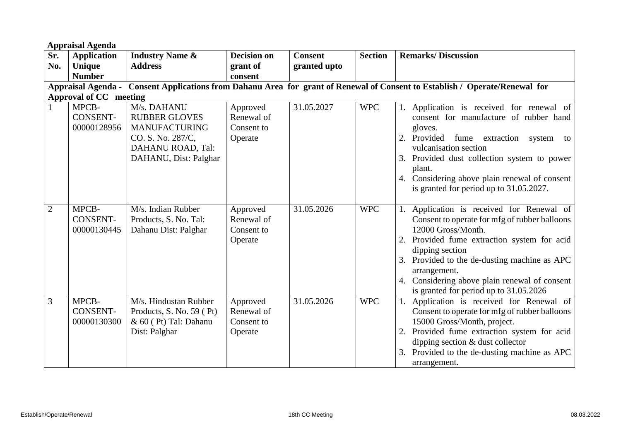|                | <b>Appraisal Agenda</b>                                                                                                     |                                                                                                                                |                                                 |                |                |                                                                                                                                                                                                                                                                                                                                            |  |  |  |
|----------------|-----------------------------------------------------------------------------------------------------------------------------|--------------------------------------------------------------------------------------------------------------------------------|-------------------------------------------------|----------------|----------------|--------------------------------------------------------------------------------------------------------------------------------------------------------------------------------------------------------------------------------------------------------------------------------------------------------------------------------------------|--|--|--|
| Sr.            | <b>Application</b>                                                                                                          | <b>Industry Name &amp;</b>                                                                                                     | <b>Decision on</b>                              | <b>Consent</b> | <b>Section</b> | <b>Remarks/Discussion</b>                                                                                                                                                                                                                                                                                                                  |  |  |  |
| No.            | <b>Unique</b>                                                                                                               | <b>Address</b>                                                                                                                 | grant of                                        | granted upto   |                |                                                                                                                                                                                                                                                                                                                                            |  |  |  |
|                | <b>Number</b>                                                                                                               |                                                                                                                                | consent                                         |                |                |                                                                                                                                                                                                                                                                                                                                            |  |  |  |
|                | Appraisal Agenda - Consent Applications from Dahanu Area for grant of Renewal of Consent to Establish / Operate/Renewal for |                                                                                                                                |                                                 |                |                |                                                                                                                                                                                                                                                                                                                                            |  |  |  |
|                | <b>Approval of CC</b> meeting                                                                                               |                                                                                                                                |                                                 |                |                |                                                                                                                                                                                                                                                                                                                                            |  |  |  |
|                | MPCB-<br><b>CONSENT-</b><br>00000128956                                                                                     | M/s. DAHANU<br><b>RUBBER GLOVES</b><br><b>MANUFACTURING</b><br>CO. S. No. 287/C,<br>DAHANU ROAD, Tal:<br>DAHANU, Dist: Palghar | Approved<br>Renewal of<br>Consent to<br>Operate | 31.05.2027     | <b>WPC</b>     | 1. Application is received for renewal of<br>consent for manufacture of rubber hand<br>gloves.<br>Provided fume extraction<br>2.<br>system<br>to<br>vulcanisation section<br>3. Provided dust collection system to power<br>plant.<br>4. Considering above plain renewal of consent<br>is granted for period up to 31.05.2027.             |  |  |  |
| $\overline{2}$ | MPCB-<br><b>CONSENT-</b><br>00000130445                                                                                     | M/s. Indian Rubber<br>Products, S. No. Tal:<br>Dahanu Dist: Palghar                                                            | Approved<br>Renewal of<br>Consent to<br>Operate | 31.05.2026     | <b>WPC</b>     | Application is received for Renewal of<br>Consent to operate for mfg of rubber balloons<br>12000 Gross/Month.<br>Provided fume extraction system for acid<br>dipping section<br>Provided to the de-dusting machine as APC<br>3.<br>arrangement.<br>4. Considering above plain renewal of consent<br>is granted for period up to 31.05.2026 |  |  |  |
| 3              | MPCB-<br><b>CONSENT-</b><br>00000130300                                                                                     | M/s. Hindustan Rubber<br>Products, S. No. 59 (Pt)<br>& 60 (Pt) Tal: Dahanu<br>Dist: Palghar                                    | Approved<br>Renewal of<br>Consent to<br>Operate | 31.05.2026     | <b>WPC</b>     | Application is received for Renewal of<br>1.<br>Consent to operate for mfg of rubber balloons<br>15000 Gross/Month, project.<br>Provided fume extraction system for acid<br>dipping section & dust collector<br>Provided to the de-dusting machine as APC<br>3.<br>arrangement.                                                            |  |  |  |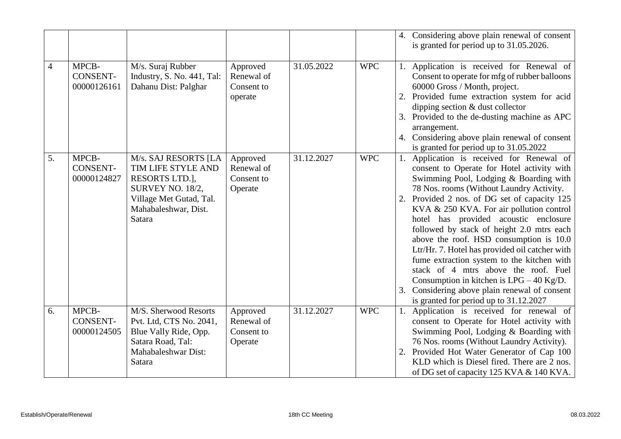|    |                                         |                                                                                                                                               |                                                 |            |            | 4. Considering above plain renewal of consent<br>is granted for period up to 31.05.2026.                                                                                                                                                                                                                                                                                                                                                                                                                                                                                                                                                                                           |
|----|-----------------------------------------|-----------------------------------------------------------------------------------------------------------------------------------------------|-------------------------------------------------|------------|------------|------------------------------------------------------------------------------------------------------------------------------------------------------------------------------------------------------------------------------------------------------------------------------------------------------------------------------------------------------------------------------------------------------------------------------------------------------------------------------------------------------------------------------------------------------------------------------------------------------------------------------------------------------------------------------------|
| 4  | MPCB-<br><b>CONSENT-</b><br>00000126161 | M/s. Suraj Rubber<br>Industry, S. No. 441, Tal:<br>Dahanu Dist: Palghar                                                                       | Approved<br>Renewal of<br>Consent to<br>operate | 31.05.2022 | <b>WPC</b> | Application is received for Renewal of<br>Consent to operate for mfg of rubber balloons<br>60000 Gross / Month, project.<br>Provided fume extraction system for acid<br>dipping section & dust collector<br>3. Provided to the de-dusting machine as APC<br>arrangement.<br>4. Considering above plain renewal of consent<br>is granted for period up to 31.05.2022                                                                                                                                                                                                                                                                                                                |
| 5. | MPCB-<br><b>CONSENT-</b><br>00000124827 | M/s. SAJ RESORTS [LA<br>TIM LIFE STYLE AND<br>RESORTS LTD.],<br>SURVEY NO. 18/2,<br>Village Met Gutad, Tal.<br>Mahabaleshwar, Dist.<br>Satara | Approved<br>Renewal of<br>Consent to<br>Operate | 31.12.2027 | <b>WPC</b> | Application is received for Renewal of<br>consent to Operate for Hotel activity with<br>Swimming Pool, Lodging & Boarding with<br>78 Nos. rooms (Without Laundry Activity.<br>Provided 2 nos. of DG set of capacity 125<br>KVA & 250 KVA. For air pollution control<br>hotel has provided acoustic enclosure<br>followed by stack of height 2.0 mtrs each<br>above the roof. HSD consumption is 10.0<br>Ltr/Hr. 7. Hotel has provided oil catcher with<br>fume extraction system to the kitchen with<br>stack of 4 mtrs above the roof. Fuel<br>Consumption in kitchen is $LPG - 40$ Kg/D.<br>Considering above plain renewal of consent<br>is granted for period up to 31.12.2027 |
| 6. | MPCB-<br><b>CONSENT-</b><br>00000124505 | M/S. Sherwood Resorts<br>Pvt. Ltd, CTS No. 2041,<br>Blue Vally Ride, Opp.<br>Satara Road, Tal:<br>Mahabaleshwar Dist:<br>Satara               | Approved<br>Renewal of<br>Consent to<br>Operate | 31.12.2027 | <b>WPC</b> | Application is received for renewal of<br>1.<br>consent to Operate for Hotel activity with<br>Swimming Pool, Lodging & Boarding with<br>76 Nos. rooms (Without Laundry Activity).<br>Provided Hot Water Generator of Cap 100<br>2.<br>KLD which is Diesel fired. There are 2 nos.<br>of DG set of capacity 125 KVA & 140 KVA.                                                                                                                                                                                                                                                                                                                                                      |